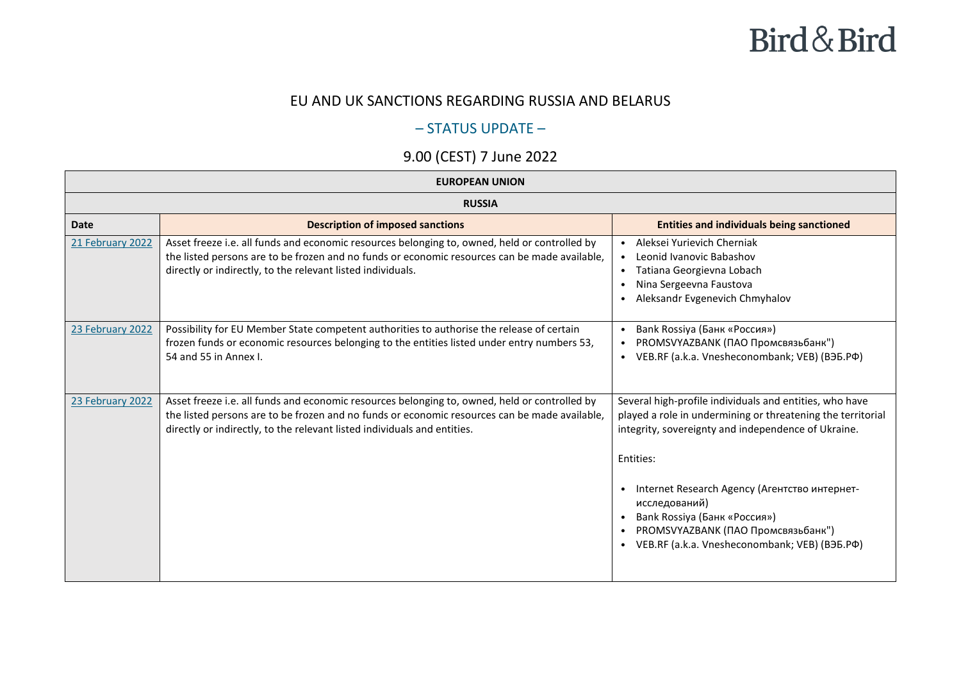#### Bird & Bird

#### EU AND UK SANCTIONS REGARDING RUSSIA AND BELARUS

#### – STATUS UPDATE –

#### 9.00 (CEST) 7 June 2022

| <b>EUROPEAN UNION</b> |                                                                                                                                                                                                                                                                            |                                                                                                                                                                                                                                                                                                                                                                                                               |
|-----------------------|----------------------------------------------------------------------------------------------------------------------------------------------------------------------------------------------------------------------------------------------------------------------------|---------------------------------------------------------------------------------------------------------------------------------------------------------------------------------------------------------------------------------------------------------------------------------------------------------------------------------------------------------------------------------------------------------------|
| <b>RUSSIA</b>         |                                                                                                                                                                                                                                                                            |                                                                                                                                                                                                                                                                                                                                                                                                               |
| <b>Date</b>           | <b>Description of imposed sanctions</b>                                                                                                                                                                                                                                    | <b>Entities and individuals being sanctioned</b>                                                                                                                                                                                                                                                                                                                                                              |
| 21 February 2022      | Asset freeze i.e. all funds and economic resources belonging to, owned, held or controlled by<br>the listed persons are to be frozen and no funds or economic resources can be made available,<br>directly or indirectly, to the relevant listed individuals.              | Aleksei Yurievich Cherniak<br>Leonid Ivanovic Babashov<br>$\bullet$<br>Tatiana Georgievna Lobach<br>$\bullet$<br>Nina Sergeevna Faustova<br>Aleksandr Evgenevich Chmyhalov                                                                                                                                                                                                                                    |
| 23 February 2022      | Possibility for EU Member State competent authorities to authorise the release of certain<br>frozen funds or economic resources belonging to the entities listed under entry numbers 53,<br>54 and 55 in Annex I.                                                          | Bank Rossiya (Банк «Россия»)<br>PROMSVYAZBANK (ПАО Промсвязьбанк")<br>VEB.RF (a.k.a. Vnesheconombank; VEB) (B36.PФ)<br>$\bullet$                                                                                                                                                                                                                                                                              |
| 23 February 2022      | Asset freeze i.e. all funds and economic resources belonging to, owned, held or controlled by<br>the listed persons are to be frozen and no funds or economic resources can be made available,<br>directly or indirectly, to the relevant listed individuals and entities. | Several high-profile individuals and entities, who have<br>played a role in undermining or threatening the territorial<br>integrity, sovereignty and independence of Ukraine.<br>Entities:<br>Internet Research Agency (Агентство интернет-<br>$\bullet$<br>исследований)<br>Bank Rossiya (Банк «Россия»)<br>PROMSVYAZBANK (ПАО Промсвязьбанк")<br>VEB.RF (a.k.a. Vnesheconombank; VEB) (B35.PФ)<br>$\bullet$ |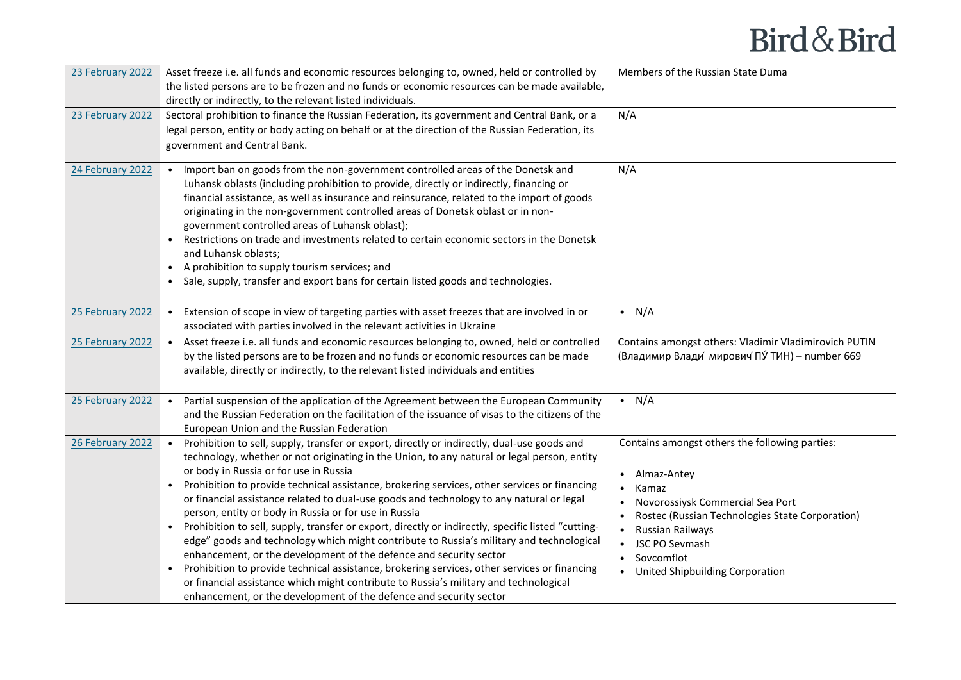| 23 February 2022 | Asset freeze i.e. all funds and economic resources belonging to, owned, held or controlled by<br>the listed persons are to be frozen and no funds or economic resources can be made available,<br>directly or indirectly, to the relevant listed individuals.                                                                                                                                                                                                                                                                                                                                                                                                                                                                                                                                                                                                                                                                                                                                                                                              | Members of the Russian State Duma                                                                                                                                                                                                                                                                 |
|------------------|------------------------------------------------------------------------------------------------------------------------------------------------------------------------------------------------------------------------------------------------------------------------------------------------------------------------------------------------------------------------------------------------------------------------------------------------------------------------------------------------------------------------------------------------------------------------------------------------------------------------------------------------------------------------------------------------------------------------------------------------------------------------------------------------------------------------------------------------------------------------------------------------------------------------------------------------------------------------------------------------------------------------------------------------------------|---------------------------------------------------------------------------------------------------------------------------------------------------------------------------------------------------------------------------------------------------------------------------------------------------|
| 23 February 2022 | Sectoral prohibition to finance the Russian Federation, its government and Central Bank, or a<br>legal person, entity or body acting on behalf or at the direction of the Russian Federation, its<br>government and Central Bank.                                                                                                                                                                                                                                                                                                                                                                                                                                                                                                                                                                                                                                                                                                                                                                                                                          | N/A                                                                                                                                                                                                                                                                                               |
| 24 February 2022 | Import ban on goods from the non-government controlled areas of the Donetsk and<br>Luhansk oblasts (including prohibition to provide, directly or indirectly, financing or<br>financial assistance, as well as insurance and reinsurance, related to the import of goods<br>originating in the non-government controlled areas of Donetsk oblast or in non-<br>government controlled areas of Luhansk oblast);<br>Restrictions on trade and investments related to certain economic sectors in the Donetsk<br>$\bullet$<br>and Luhansk oblasts;<br>A prohibition to supply tourism services; and<br>$\bullet$<br>Sale, supply, transfer and export bans for certain listed goods and technologies.                                                                                                                                                                                                                                                                                                                                                         | N/A                                                                                                                                                                                                                                                                                               |
| 25 February 2022 | Extension of scope in view of targeting parties with asset freezes that are involved in or<br>$\bullet$<br>associated with parties involved in the relevant activities in Ukraine                                                                                                                                                                                                                                                                                                                                                                                                                                                                                                                                                                                                                                                                                                                                                                                                                                                                          | $\bullet$ N/A                                                                                                                                                                                                                                                                                     |
| 25 February 2022 | Asset freeze i.e. all funds and economic resources belonging to, owned, held or controlled<br>by the listed persons are to be frozen and no funds or economic resources can be made<br>available, directly or indirectly, to the relevant listed individuals and entities                                                                                                                                                                                                                                                                                                                                                                                                                                                                                                                                                                                                                                                                                                                                                                                  | Contains amongst others: Vladimir Vladimirovich PUTIN<br>(Владимир Влади мирович ПУ ТИН) - number 669                                                                                                                                                                                             |
| 25 February 2022 | Partial suspension of the application of the Agreement between the European Community<br>and the Russian Federation on the facilitation of the issuance of visas to the citizens of the<br>European Union and the Russian Federation                                                                                                                                                                                                                                                                                                                                                                                                                                                                                                                                                                                                                                                                                                                                                                                                                       | $\bullet$ N/A                                                                                                                                                                                                                                                                                     |
| 26 February 2022 | Prohibition to sell, supply, transfer or export, directly or indirectly, dual-use goods and<br>technology, whether or not originating in the Union, to any natural or legal person, entity<br>or body in Russia or for use in Russia<br>Prohibition to provide technical assistance, brokering services, other services or financing<br>$\bullet$<br>or financial assistance related to dual-use goods and technology to any natural or legal<br>person, entity or body in Russia or for use in Russia<br>Prohibition to sell, supply, transfer or export, directly or indirectly, specific listed "cutting-<br>$\bullet$<br>edge" goods and technology which might contribute to Russia's military and technological<br>enhancement, or the development of the defence and security sector<br>Prohibition to provide technical assistance, brokering services, other services or financing<br>or financial assistance which might contribute to Russia's military and technological<br>enhancement, or the development of the defence and security sector | Contains amongst others the following parties:<br>Almaz-Antey<br>$\bullet$<br>Kamaz<br>$\bullet$<br>Novorossiysk Commercial Sea Port<br>$\bullet$<br>Rostec (Russian Technologies State Corporation)<br>Russian Railways<br>• JSC PO Sevmash<br>• Sovcomflot<br>• United Shipbuilding Corporation |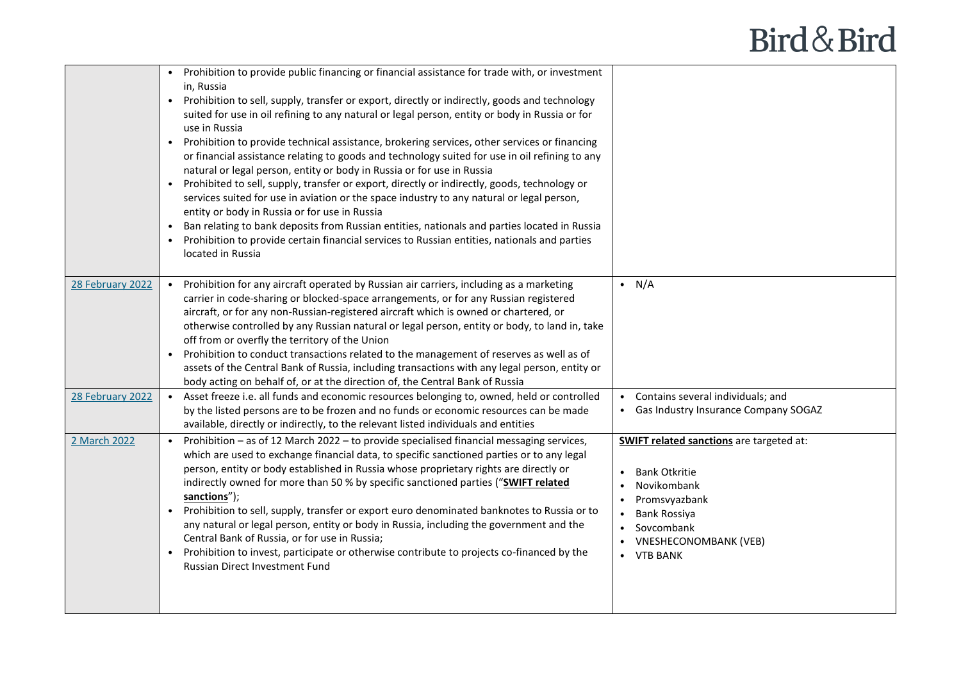|                                      | • Prohibition to provide public financing or financial assistance for trade with, or investment<br>in, Russia<br>Prohibition to sell, supply, transfer or export, directly or indirectly, goods and technology<br>$\bullet$<br>suited for use in oil refining to any natural or legal person, entity or body in Russia or for<br>use in Russia<br>Prohibition to provide technical assistance, brokering services, other services or financing<br>$\bullet$<br>or financial assistance relating to goods and technology suited for use in oil refining to any<br>natural or legal person, entity or body in Russia or for use in Russia<br>Prohibited to sell, supply, transfer or export, directly or indirectly, goods, technology or<br>services suited for use in aviation or the space industry to any natural or legal person,<br>entity or body in Russia or for use in Russia<br>Ban relating to bank deposits from Russian entities, nationals and parties located in Russia<br>Prohibition to provide certain financial services to Russian entities, nationals and parties<br>located in Russia |                                                                                                                                                                                     |
|--------------------------------------|------------------------------------------------------------------------------------------------------------------------------------------------------------------------------------------------------------------------------------------------------------------------------------------------------------------------------------------------------------------------------------------------------------------------------------------------------------------------------------------------------------------------------------------------------------------------------------------------------------------------------------------------------------------------------------------------------------------------------------------------------------------------------------------------------------------------------------------------------------------------------------------------------------------------------------------------------------------------------------------------------------------------------------------------------------------------------------------------------------|-------------------------------------------------------------------------------------------------------------------------------------------------------------------------------------|
| 28 February 2022<br>28 February 2022 | Prohibition for any aircraft operated by Russian air carriers, including as a marketing<br>carrier in code-sharing or blocked-space arrangements, or for any Russian registered<br>aircraft, or for any non-Russian-registered aircraft which is owned or chartered, or<br>otherwise controlled by any Russian natural or legal person, entity or body, to land in, take<br>off from or overfly the territory of the Union<br>Prohibition to conduct transactions related to the management of reserves as well as of<br>assets of the Central Bank of Russia, including transactions with any legal person, entity or<br>body acting on behalf of, or at the direction of, the Central Bank of Russia<br>Asset freeze i.e. all funds and economic resources belonging to, owned, held or controlled<br>by the listed persons are to be frozen and no funds or economic resources can be made<br>available, directly or indirectly, to the relevant listed individuals and entities                                                                                                                        | $\bullet$ N/A<br>• Contains several individuals; and<br>Gas Industry Insurance Company SOGAZ                                                                                        |
| 2 March 2022                         | Prohibition - as of 12 March 2022 - to provide specialised financial messaging services,<br>which are used to exchange financial data, to specific sanctioned parties or to any legal<br>person, entity or body established in Russia whose proprietary rights are directly or<br>indirectly owned for more than 50 % by specific sanctioned parties ("SWIFT related<br>sanctions");<br>Prohibition to sell, supply, transfer or export euro denominated banknotes to Russia or to<br>$\bullet$<br>any natural or legal person, entity or body in Russia, including the government and the<br>Central Bank of Russia, or for use in Russia;<br>Prohibition to invest, participate or otherwise contribute to projects co-financed by the<br>$\bullet$<br>Russian Direct Investment Fund                                                                                                                                                                                                                                                                                                                    | <b>SWIFT related sanctions</b> are targeted at:<br><b>Bank Otkritie</b><br>Novikombank<br>Promsvyazbank<br>Bank Rossiya<br>Sovcombank<br><b>VNESHECONOMBANK (VEB)</b><br>• VTB BANK |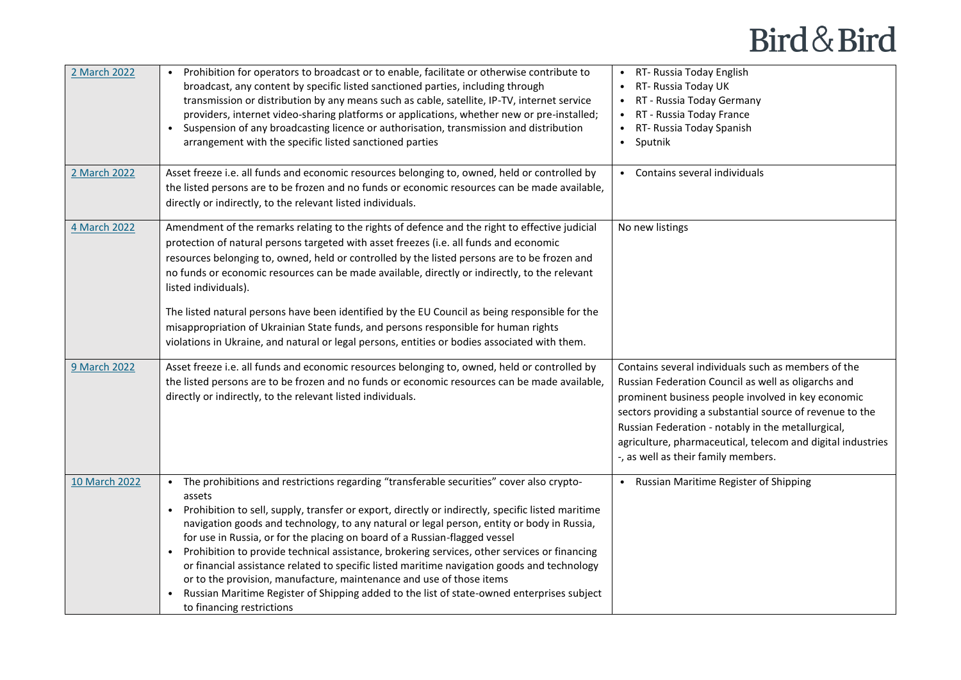| 2 March 2022  | Prohibition for operators to broadcast or to enable, facilitate or otherwise contribute to<br>broadcast, any content by specific listed sanctioned parties, including through<br>transmission or distribution by any means such as cable, satellite, IP-TV, internet service<br>providers, internet video-sharing platforms or applications, whether new or pre-installed;<br>Suspension of any broadcasting licence or authorisation, transmission and distribution<br>$\bullet$<br>arrangement with the specific listed sanctioned parties                                                                                                                                                                                                                                                                    | RT- Russia Today English<br>RT- Russia Today UK<br>RT - Russia Today Germany<br>RT - Russia Today France<br>RT- Russia Today Spanish<br>$\bullet$<br>Sputnik<br>$\bullet$                                                                                                                                                                                                                |
|---------------|-----------------------------------------------------------------------------------------------------------------------------------------------------------------------------------------------------------------------------------------------------------------------------------------------------------------------------------------------------------------------------------------------------------------------------------------------------------------------------------------------------------------------------------------------------------------------------------------------------------------------------------------------------------------------------------------------------------------------------------------------------------------------------------------------------------------|------------------------------------------------------------------------------------------------------------------------------------------------------------------------------------------------------------------------------------------------------------------------------------------------------------------------------------------------------------------------------------------|
| 2 March 2022  | Asset freeze i.e. all funds and economic resources belonging to, owned, held or controlled by<br>the listed persons are to be frozen and no funds or economic resources can be made available,<br>directly or indirectly, to the relevant listed individuals.                                                                                                                                                                                                                                                                                                                                                                                                                                                                                                                                                   | • Contains several individuals                                                                                                                                                                                                                                                                                                                                                           |
| 4 March 2022  | Amendment of the remarks relating to the rights of defence and the right to effective judicial<br>protection of natural persons targeted with asset freezes (i.e. all funds and economic<br>resources belonging to, owned, held or controlled by the listed persons are to be frozen and<br>no funds or economic resources can be made available, directly or indirectly, to the relevant<br>listed individuals).<br>The listed natural persons have been identified by the EU Council as being responsible for the<br>misappropriation of Ukrainian State funds, and persons responsible for human rights<br>violations in Ukraine, and natural or legal persons, entities or bodies associated with them.                                                                                                     | No new listings                                                                                                                                                                                                                                                                                                                                                                          |
| 9 March 2022  | Asset freeze i.e. all funds and economic resources belonging to, owned, held or controlled by<br>the listed persons are to be frozen and no funds or economic resources can be made available,<br>directly or indirectly, to the relevant listed individuals.                                                                                                                                                                                                                                                                                                                                                                                                                                                                                                                                                   | Contains several individuals such as members of the<br>Russian Federation Council as well as oligarchs and<br>prominent business people involved in key economic<br>sectors providing a substantial source of revenue to the<br>Russian Federation - notably in the metallurgical,<br>agriculture, pharmaceutical, telecom and digital industries<br>-, as well as their family members. |
| 10 March 2022 | The prohibitions and restrictions regarding "transferable securities" cover also crypto-<br>assets<br>Prohibition to sell, supply, transfer or export, directly or indirectly, specific listed maritime<br>$\bullet$<br>navigation goods and technology, to any natural or legal person, entity or body in Russia,<br>for use in Russia, or for the placing on board of a Russian-flagged vessel<br>Prohibition to provide technical assistance, brokering services, other services or financing<br>$\bullet$<br>or financial assistance related to specific listed maritime navigation goods and technology<br>or to the provision, manufacture, maintenance and use of those items<br>Russian Maritime Register of Shipping added to the list of state-owned enterprises subject<br>to financing restrictions | • Russian Maritime Register of Shipping                                                                                                                                                                                                                                                                                                                                                  |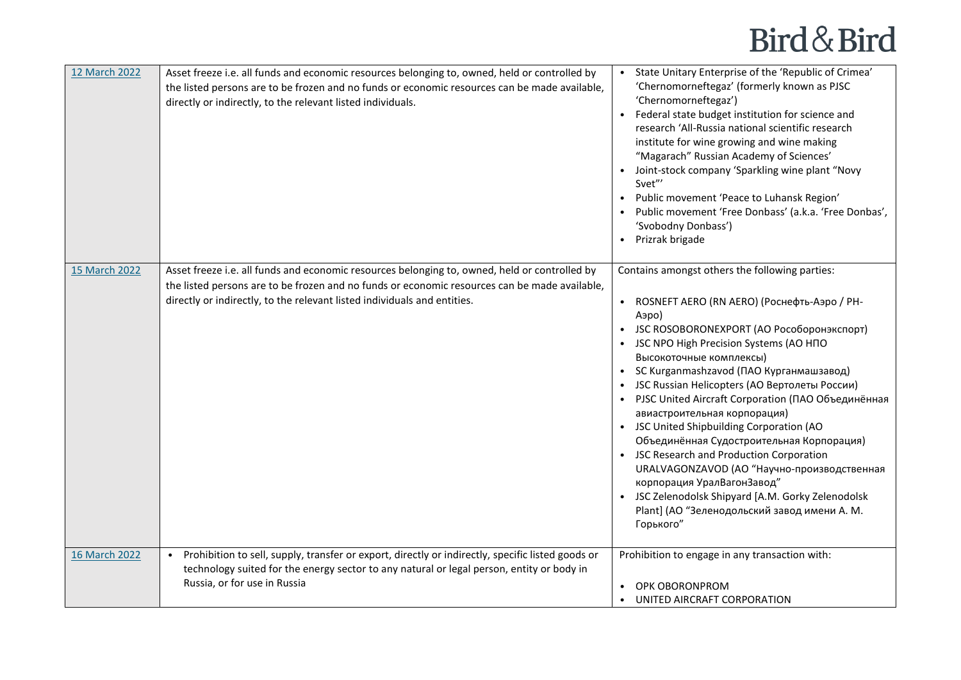| 12 March 2022 | Asset freeze i.e. all funds and economic resources belonging to, owned, held or controlled by<br>the listed persons are to be frozen and no funds or economic resources can be made available,<br>directly or indirectly, to the relevant listed individuals.              | • State Unitary Enterprise of the 'Republic of Crimea'<br>'Chernomorneftegaz' (formerly known as PJSC<br>'Chernomorneftegaz')<br>• Federal state budget institution for science and<br>research 'All-Russia national scientific research<br>institute for wine growing and wine making<br>"Magarach" Russian Academy of Sciences'<br>• Joint-stock company 'Sparkling wine plant "Novy<br>Svet"'<br>• Public movement 'Peace to Luhansk Region'<br>Public movement 'Free Donbass' (a.k.a. 'Free Donbas',<br>'Svobodny Donbass')<br>Prizrak brigade                                                                                                                                                                                                          |
|---------------|----------------------------------------------------------------------------------------------------------------------------------------------------------------------------------------------------------------------------------------------------------------------------|-------------------------------------------------------------------------------------------------------------------------------------------------------------------------------------------------------------------------------------------------------------------------------------------------------------------------------------------------------------------------------------------------------------------------------------------------------------------------------------------------------------------------------------------------------------------------------------------------------------------------------------------------------------------------------------------------------------------------------------------------------------|
| 15 March 2022 | Asset freeze i.e. all funds and economic resources belonging to, owned, held or controlled by<br>the listed persons are to be frozen and no funds or economic resources can be made available,<br>directly or indirectly, to the relevant listed individuals and entities. | Contains amongst others the following parties:<br>ROSNEFT AERO (RN AERO) (Роснефть-Аэро / PH-<br>Аэро)<br>• JSC ROSOBORONEXPORT (АО Рособоронэкспорт)<br>• JSC NPO High Precision Systems (AO HNO<br>Высокоточные комплексы)<br>• SC Kurganmashzavod (ПАО Курганмашзавод)<br>• JSC Russian Helicopters (АО Вертолеты России)<br>• PJSC United Aircraft Corporation (ПАО Объединённая<br>авиастроительная корпорация)<br>• JSC United Shipbuilding Corporation (AO<br>Объединённая Судостроительная Корпорация)<br>• JSC Research and Production Corporation<br>URALVAGONZAVOD (АО "Научно-производственная<br>корпорация УралВагонЗавод"<br>• JSC Zelenodolsk Shipyard [A.M. Gorky Zelenodolsk<br>Plant] (АО "Зеленодольский завод имени А. М.<br>Горького" |
| 16 March 2022 | Prohibition to sell, supply, transfer or export, directly or indirectly, specific listed goods or<br>technology suited for the energy sector to any natural or legal person, entity or body in<br>Russia, or for use in Russia                                             | Prohibition to engage in any transaction with:<br>OPK OBORONPROM<br>UNITED AIRCRAFT CORPORATION                                                                                                                                                                                                                                                                                                                                                                                                                                                                                                                                                                                                                                                             |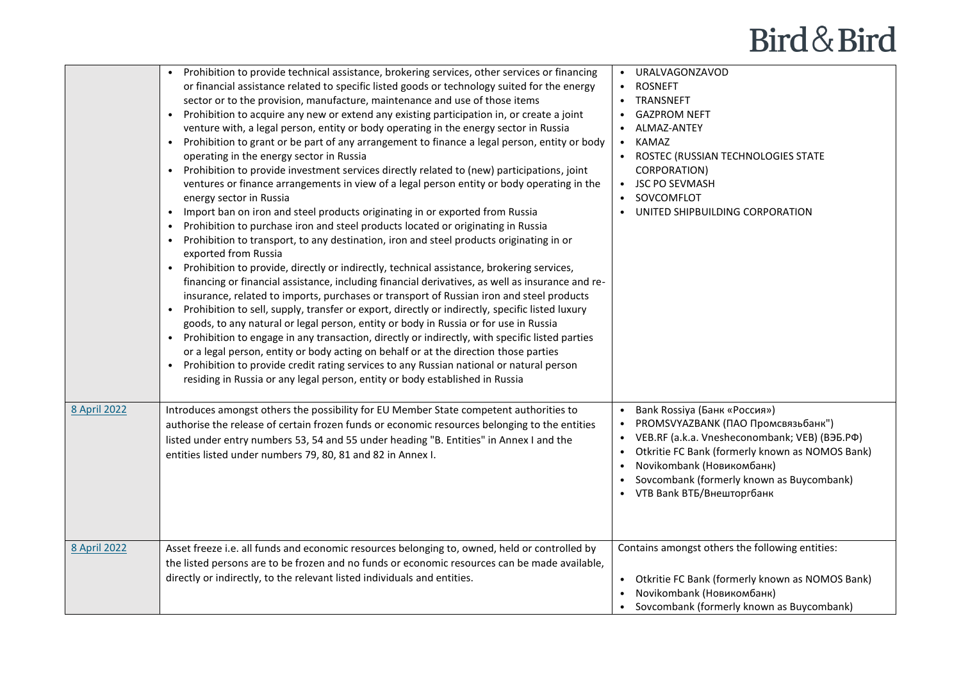|                     | Prohibition to provide technical assistance, brokering services, other services or financing<br>or financial assistance related to specific listed goods or technology suited for the energy<br>sector or to the provision, manufacture, maintenance and use of those items<br>Prohibition to acquire any new or extend any existing participation in, or create a joint<br>venture with, a legal person, entity or body operating in the energy sector in Russia<br>Prohibition to grant or be part of any arrangement to finance a legal person, entity or body<br>$\bullet$<br>operating in the energy sector in Russia<br>Prohibition to provide investment services directly related to (new) participations, joint<br>$\bullet$<br>ventures or finance arrangements in view of a legal person entity or body operating in the<br>energy sector in Russia<br>Import ban on iron and steel products originating in or exported from Russia<br>$\bullet$<br>Prohibition to purchase iron and steel products located or originating in Russia<br>$\bullet$<br>Prohibition to transport, to any destination, iron and steel products originating in or<br>$\bullet$<br>exported from Russia<br>Prohibition to provide, directly or indirectly, technical assistance, brokering services,<br>financing or financial assistance, including financial derivatives, as well as insurance and re-<br>insurance, related to imports, purchases or transport of Russian iron and steel products<br>Prohibition to sell, supply, transfer or export, directly or indirectly, specific listed luxury<br>$\bullet$<br>goods, to any natural or legal person, entity or body in Russia or for use in Russia<br>Prohibition to engage in any transaction, directly or indirectly, with specific listed parties<br>$\bullet$<br>or a legal person, entity or body acting on behalf or at the direction those parties<br>Prohibition to provide credit rating services to any Russian national or natural person<br>$\bullet$<br>residing in Russia or any legal person, entity or body established in Russia | • URALVAGONZAVOD<br><b>ROSNEFT</b><br>TRANSNEFT<br><b>GAZPROM NEFT</b><br>ALMAZ-ANTEY<br>KAMAZ<br>ROSTEC (RUSSIAN TECHNOLOGIES STATE<br>CORPORATION)<br>• JSC PO SEVMASH<br>SOVCOMFLOT<br>UNITED SHIPBUILDING CORPORATION                                                           |
|---------------------|--------------------------------------------------------------------------------------------------------------------------------------------------------------------------------------------------------------------------------------------------------------------------------------------------------------------------------------------------------------------------------------------------------------------------------------------------------------------------------------------------------------------------------------------------------------------------------------------------------------------------------------------------------------------------------------------------------------------------------------------------------------------------------------------------------------------------------------------------------------------------------------------------------------------------------------------------------------------------------------------------------------------------------------------------------------------------------------------------------------------------------------------------------------------------------------------------------------------------------------------------------------------------------------------------------------------------------------------------------------------------------------------------------------------------------------------------------------------------------------------------------------------------------------------------------------------------------------------------------------------------------------------------------------------------------------------------------------------------------------------------------------------------------------------------------------------------------------------------------------------------------------------------------------------------------------------------------------------------------------------------------------------------------------------------------------------------------------------------|-------------------------------------------------------------------------------------------------------------------------------------------------------------------------------------------------------------------------------------------------------------------------------------|
| <b>8 April 2022</b> | Introduces amongst others the possibility for EU Member State competent authorities to<br>authorise the release of certain frozen funds or economic resources belonging to the entities<br>listed under entry numbers 53, 54 and 55 under heading "B. Entities" in Annex I and the<br>entities listed under numbers 79, 80, 81 and 82 in Annex I.                                                                                                                                                                                                                                                                                                                                                                                                                                                                                                                                                                                                                                                                                                                                                                                                                                                                                                                                                                                                                                                                                                                                                                                                                                                                                                                                                                                                                                                                                                                                                                                                                                                                                                                                                | Bank Rossiya (Банк «Россия»)<br>• PROMSVYAZBANK (ПАО Промсвязьбанк")<br>• VEB.RF (a.k.a. Vnesheconombank; VEB) (BEB.PO)<br>Otkritie FC Bank (formerly known as NOMOS Bank)<br>Novikombank (Новикомбанк)<br>Sovcombank (formerly known as Buycombank)<br>• VTB Bank BTБ/Внешторгбанк |
| 8 April 2022        | Asset freeze i.e. all funds and economic resources belonging to, owned, held or controlled by<br>the listed persons are to be frozen and no funds or economic resources can be made available,<br>directly or indirectly, to the relevant listed individuals and entities.                                                                                                                                                                                                                                                                                                                                                                                                                                                                                                                                                                                                                                                                                                                                                                                                                                                                                                                                                                                                                                                                                                                                                                                                                                                                                                                                                                                                                                                                                                                                                                                                                                                                                                                                                                                                                       | Contains amongst others the following entities:<br>• Otkritie FC Bank (formerly known as NOMOS Bank)<br>Novikombank (Новикомбанк)<br>• Sovcombank (formerly known as Buycombank)                                                                                                    |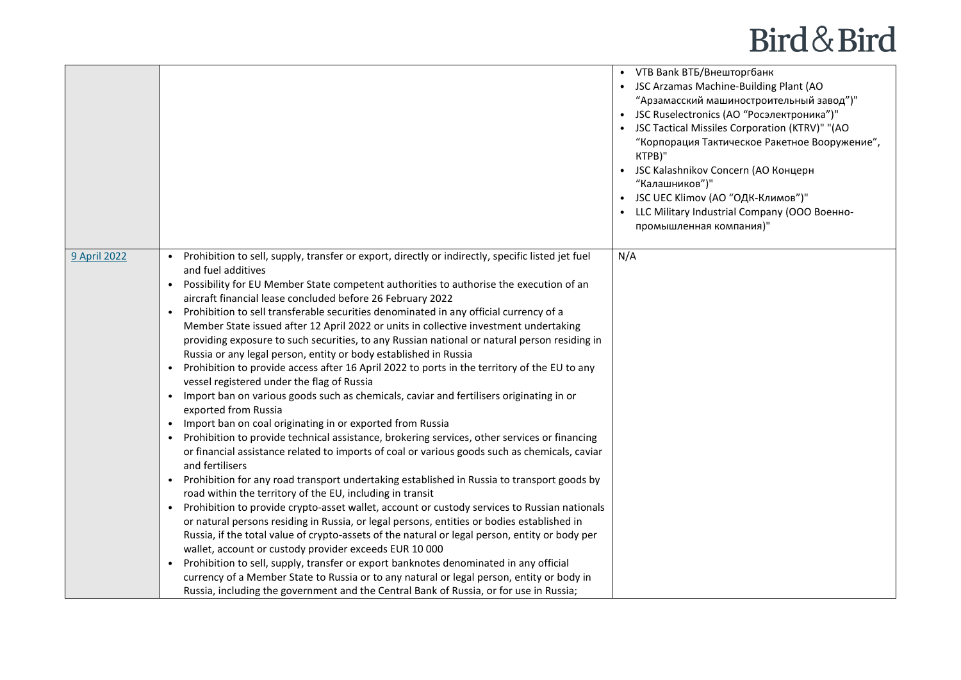|              |                                                                                                                                                                                                                                                                                                                                                                                                                                                                                                                                                                                                                                                                                                                                                                                                                                                                                                                                                                                                                                                                                                                                                                                                                                                                                                                                                                                                                                                                                                                                                                                                                                                                                                                                                                                                                                                                                                                                                                                                                                                                            | • VTB Bank BTБ/Внешторгбанк<br>• JSC Arzamas Machine-Building Plant (AO<br>"Арзамасский машиностроительный завод")"<br>• JSC Ruselectronics (АО "Росэлектроника")"<br>• JSC Tactical Missiles Corporation (KTRV)" "(AO<br>"Корпорация Тактическое Ракетное Вооружение",<br>KTPB)"<br>• JSC Kalashnikov Concern (АО Концерн<br>"Калашников")"<br>• JSC UEC Klimov (АО "ОДК-Климов")"<br>• LLC Military Industrial Company (OOO Военно-<br>промышленная компания)" |
|--------------|----------------------------------------------------------------------------------------------------------------------------------------------------------------------------------------------------------------------------------------------------------------------------------------------------------------------------------------------------------------------------------------------------------------------------------------------------------------------------------------------------------------------------------------------------------------------------------------------------------------------------------------------------------------------------------------------------------------------------------------------------------------------------------------------------------------------------------------------------------------------------------------------------------------------------------------------------------------------------------------------------------------------------------------------------------------------------------------------------------------------------------------------------------------------------------------------------------------------------------------------------------------------------------------------------------------------------------------------------------------------------------------------------------------------------------------------------------------------------------------------------------------------------------------------------------------------------------------------------------------------------------------------------------------------------------------------------------------------------------------------------------------------------------------------------------------------------------------------------------------------------------------------------------------------------------------------------------------------------------------------------------------------------------------------------------------------------|------------------------------------------------------------------------------------------------------------------------------------------------------------------------------------------------------------------------------------------------------------------------------------------------------------------------------------------------------------------------------------------------------------------------------------------------------------------|
| 9 April 2022 | Prohibition to sell, supply, transfer or export, directly or indirectly, specific listed jet fuel<br>and fuel additives<br>Possibility for EU Member State competent authorities to authorise the execution of an<br>$\bullet$<br>aircraft financial lease concluded before 26 February 2022<br>Prohibition to sell transferable securities denominated in any official currency of a<br>Member State issued after 12 April 2022 or units in collective investment undertaking<br>providing exposure to such securities, to any Russian national or natural person residing in<br>Russia or any legal person, entity or body established in Russia<br>Prohibition to provide access after 16 April 2022 to ports in the territory of the EU to any<br>vessel registered under the flag of Russia<br>Import ban on various goods such as chemicals, caviar and fertilisers originating in or<br>$\bullet$<br>exported from Russia<br>Import ban on coal originating in or exported from Russia<br>$\bullet$<br>Prohibition to provide technical assistance, brokering services, other services or financing<br>$\bullet$<br>or financial assistance related to imports of coal or various goods such as chemicals, caviar<br>and fertilisers<br>Prohibition for any road transport undertaking established in Russia to transport goods by<br>$\bullet$<br>road within the territory of the EU, including in transit<br>Prohibition to provide crypto-asset wallet, account or custody services to Russian nationals<br>$\bullet$<br>or natural persons residing in Russia, or legal persons, entities or bodies established in<br>Russia, if the total value of crypto-assets of the natural or legal person, entity or body per<br>wallet, account or custody provider exceeds EUR 10 000<br>Prohibition to sell, supply, transfer or export banknotes denominated in any official<br>currency of a Member State to Russia or to any natural or legal person, entity or body in<br>Russia, including the government and the Central Bank of Russia, or for use in Russia; | N/A                                                                                                                                                                                                                                                                                                                                                                                                                                                              |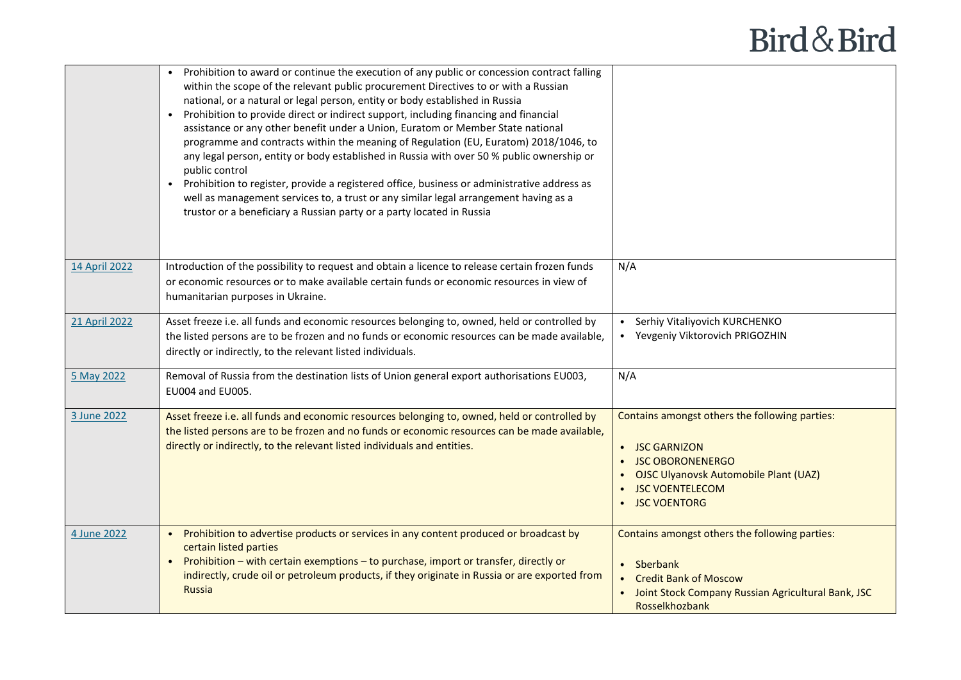|               | Prohibition to award or continue the execution of any public or concession contract falling<br>within the scope of the relevant public procurement Directives to or with a Russian<br>national, or a natural or legal person, entity or body established in Russia<br>Prohibition to provide direct or indirect support, including financing and financial<br>assistance or any other benefit under a Union, Euratom or Member State national<br>programme and contracts within the meaning of Regulation (EU, Euratom) 2018/1046, to<br>any legal person, entity or body established in Russia with over 50 % public ownership or<br>public control<br>Prohibition to register, provide a registered office, business or administrative address as<br>$\bullet$<br>well as management services to, a trust or any similar legal arrangement having as a<br>trustor or a beneficiary a Russian party or a party located in Russia |                                                                                                                                                                                         |
|---------------|-----------------------------------------------------------------------------------------------------------------------------------------------------------------------------------------------------------------------------------------------------------------------------------------------------------------------------------------------------------------------------------------------------------------------------------------------------------------------------------------------------------------------------------------------------------------------------------------------------------------------------------------------------------------------------------------------------------------------------------------------------------------------------------------------------------------------------------------------------------------------------------------------------------------------------------|-----------------------------------------------------------------------------------------------------------------------------------------------------------------------------------------|
| 14 April 2022 | Introduction of the possibility to request and obtain a licence to release certain frozen funds<br>or economic resources or to make available certain funds or economic resources in view of<br>humanitarian purposes in Ukraine.                                                                                                                                                                                                                                                                                                                                                                                                                                                                                                                                                                                                                                                                                                 | N/A                                                                                                                                                                                     |
| 21 April 2022 | Asset freeze i.e. all funds and economic resources belonging to, owned, held or controlled by<br>the listed persons are to be frozen and no funds or economic resources can be made available,<br>directly or indirectly, to the relevant listed individuals.                                                                                                                                                                                                                                                                                                                                                                                                                                                                                                                                                                                                                                                                     | Serhiy Vitaliyovich KURCHENKO<br>• Yevgeniy Viktorovich PRIGOZHIN                                                                                                                       |
| 5 May 2022    | Removal of Russia from the destination lists of Union general export authorisations EU003,<br>EU004 and EU005.                                                                                                                                                                                                                                                                                                                                                                                                                                                                                                                                                                                                                                                                                                                                                                                                                    | N/A                                                                                                                                                                                     |
| 3 June 2022   | Asset freeze i.e. all funds and economic resources belonging to, owned, held or controlled by<br>the listed persons are to be frozen and no funds or economic resources can be made available,<br>directly or indirectly, to the relevant listed individuals and entities.                                                                                                                                                                                                                                                                                                                                                                                                                                                                                                                                                                                                                                                        | Contains amongst others the following parties:<br>• JSC GARNIZON<br><b>JSC OBORONENERGO</b><br><b>OJSC Ulyanovsk Automobile Plant (UAZ)</b><br><b>JSC VOENTELECOM</b><br>• JSC VOENTORG |
| 4 June 2022   | Prohibition to advertise products or services in any content produced or broadcast by<br>certain listed parties<br>Prohibition – with certain exemptions – to purchase, import or transfer, directly or<br>indirectly, crude oil or petroleum products, if they originate in Russia or are exported from<br><b>Russia</b>                                                                                                                                                                                                                                                                                                                                                                                                                                                                                                                                                                                                         | Contains amongst others the following parties:<br>• Sberbank<br><b>Credit Bank of Moscow</b><br>Joint Stock Company Russian Agricultural Bank, JSC<br>Rosselkhozbank                    |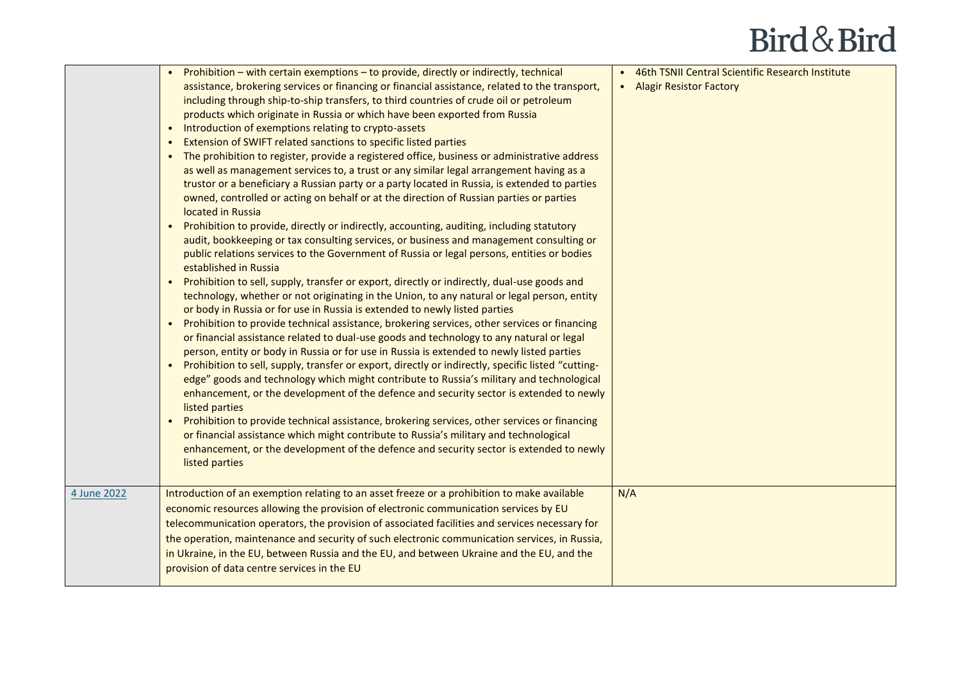|             | • Prohibition – with certain exemptions – to provide, directly or indirectly, technical<br>assistance, brokering services or financing or financial assistance, related to the transport,<br>including through ship-to-ship transfers, to third countries of crude oil or petroleum<br>products which originate in Russia or which have been exported from Russia<br>Introduction of exemptions relating to crypto-assets<br>$\bullet$<br>Extension of SWIFT related sanctions to specific listed parties<br>The prohibition to register, provide a registered office, business or administrative address<br>as well as management services to, a trust or any similar legal arrangement having as a<br>trustor or a beneficiary a Russian party or a party located in Russia, is extended to parties<br>owned, controlled or acting on behalf or at the direction of Russian parties or parties<br>located in Russia<br>Prohibition to provide, directly or indirectly, accounting, auditing, including statutory<br>$\bullet$<br>audit, bookkeeping or tax consulting services, or business and management consulting or<br>public relations services to the Government of Russia or legal persons, entities or bodies<br>established in Russia<br>Prohibition to sell, supply, transfer or export, directly or indirectly, dual-use goods and<br>$\bullet$<br>technology, whether or not originating in the Union, to any natural or legal person, entity<br>or body in Russia or for use in Russia is extended to newly listed parties<br>Prohibition to provide technical assistance, brokering services, other services or financing<br>$\bullet$<br>or financial assistance related to dual-use goods and technology to any natural or legal<br>person, entity or body in Russia or for use in Russia is extended to newly listed parties<br>Prohibition to sell, supply, transfer or export, directly or indirectly, specific listed "cutting-<br>$\bullet$<br>edge" goods and technology which might contribute to Russia's military and technological<br>enhancement, or the development of the defence and security sector is extended to newly<br>listed parties<br>Prohibition to provide technical assistance, brokering services, other services or financing<br>$\bullet$<br>or financial assistance which might contribute to Russia's military and technological<br>enhancement, or the development of the defence and security sector is extended to newly<br>listed parties | • 46th TSNII Central Scientific Research Institute<br>• Alagir Resistor Factory |
|-------------|-------------------------------------------------------------------------------------------------------------------------------------------------------------------------------------------------------------------------------------------------------------------------------------------------------------------------------------------------------------------------------------------------------------------------------------------------------------------------------------------------------------------------------------------------------------------------------------------------------------------------------------------------------------------------------------------------------------------------------------------------------------------------------------------------------------------------------------------------------------------------------------------------------------------------------------------------------------------------------------------------------------------------------------------------------------------------------------------------------------------------------------------------------------------------------------------------------------------------------------------------------------------------------------------------------------------------------------------------------------------------------------------------------------------------------------------------------------------------------------------------------------------------------------------------------------------------------------------------------------------------------------------------------------------------------------------------------------------------------------------------------------------------------------------------------------------------------------------------------------------------------------------------------------------------------------------------------------------------------------------------------------------------------------------------------------------------------------------------------------------------------------------------------------------------------------------------------------------------------------------------------------------------------------------------------------------------------------------------------------------------------------------------------------------------------------------------------------------------------------------------|---------------------------------------------------------------------------------|
| 4 June 2022 | Introduction of an exemption relating to an asset freeze or a prohibition to make available<br>economic resources allowing the provision of electronic communication services by EU<br>telecommunication operators, the provision of associated facilities and services necessary for<br>the operation, maintenance and security of such electronic communication services, in Russia,<br>in Ukraine, in the EU, between Russia and the EU, and between Ukraine and the EU, and the<br>provision of data centre services in the EU                                                                                                                                                                                                                                                                                                                                                                                                                                                                                                                                                                                                                                                                                                                                                                                                                                                                                                                                                                                                                                                                                                                                                                                                                                                                                                                                                                                                                                                                                                                                                                                                                                                                                                                                                                                                                                                                                                                                                              | N/A                                                                             |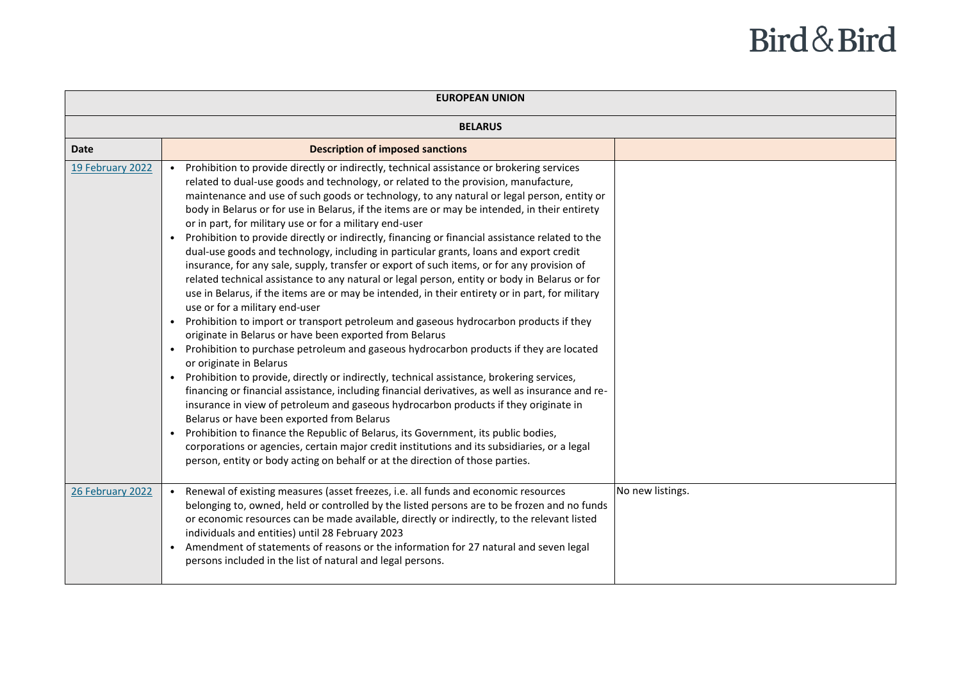| <b>EUROPEAN UNION</b> |                                                                                                                                                                                                                                                                                                                                                                                                                                                                                                                                                                                                                                                                                                                                                                                                                                                                                                                                                                                                                                                                                                                                                                                                                                                                                                                                                                                                                                                                                                                                                                                                                                                                                                                                                                                                                                                                                              |                  |
|-----------------------|----------------------------------------------------------------------------------------------------------------------------------------------------------------------------------------------------------------------------------------------------------------------------------------------------------------------------------------------------------------------------------------------------------------------------------------------------------------------------------------------------------------------------------------------------------------------------------------------------------------------------------------------------------------------------------------------------------------------------------------------------------------------------------------------------------------------------------------------------------------------------------------------------------------------------------------------------------------------------------------------------------------------------------------------------------------------------------------------------------------------------------------------------------------------------------------------------------------------------------------------------------------------------------------------------------------------------------------------------------------------------------------------------------------------------------------------------------------------------------------------------------------------------------------------------------------------------------------------------------------------------------------------------------------------------------------------------------------------------------------------------------------------------------------------------------------------------------------------------------------------------------------------|------------------|
| <b>BELARUS</b>        |                                                                                                                                                                                                                                                                                                                                                                                                                                                                                                                                                                                                                                                                                                                                                                                                                                                                                                                                                                                                                                                                                                                                                                                                                                                                                                                                                                                                                                                                                                                                                                                                                                                                                                                                                                                                                                                                                              |                  |
| <b>Date</b>           | <b>Description of imposed sanctions</b>                                                                                                                                                                                                                                                                                                                                                                                                                                                                                                                                                                                                                                                                                                                                                                                                                                                                                                                                                                                                                                                                                                                                                                                                                                                                                                                                                                                                                                                                                                                                                                                                                                                                                                                                                                                                                                                      |                  |
| 19 February 2022      | Prohibition to provide directly or indirectly, technical assistance or brokering services<br>related to dual-use goods and technology, or related to the provision, manufacture,<br>maintenance and use of such goods or technology, to any natural or legal person, entity or<br>body in Belarus or for use in Belarus, if the items are or may be intended, in their entirety<br>or in part, for military use or for a military end-user<br>Prohibition to provide directly or indirectly, financing or financial assistance related to the<br>dual-use goods and technology, including in particular grants, loans and export credit<br>insurance, for any sale, supply, transfer or export of such items, or for any provision of<br>related technical assistance to any natural or legal person, entity or body in Belarus or for<br>use in Belarus, if the items are or may be intended, in their entirety or in part, for military<br>use or for a military end-user<br>Prohibition to import or transport petroleum and gaseous hydrocarbon products if they<br>$\bullet$<br>originate in Belarus or have been exported from Belarus<br>Prohibition to purchase petroleum and gaseous hydrocarbon products if they are located<br>$\bullet$<br>or originate in Belarus<br>Prohibition to provide, directly or indirectly, technical assistance, brokering services,<br>financing or financial assistance, including financial derivatives, as well as insurance and re-<br>insurance in view of petroleum and gaseous hydrocarbon products if they originate in<br>Belarus or have been exported from Belarus<br>Prohibition to finance the Republic of Belarus, its Government, its public bodies,<br>corporations or agencies, certain major credit institutions and its subsidiaries, or a legal<br>person, entity or body acting on behalf or at the direction of those parties. |                  |
| 26 February 2022      | Renewal of existing measures (asset freezes, i.e. all funds and economic resources<br>belonging to, owned, held or controlled by the listed persons are to be frozen and no funds<br>or economic resources can be made available, directly or indirectly, to the relevant listed<br>individuals and entities) until 28 February 2023<br>Amendment of statements of reasons or the information for 27 natural and seven legal<br>persons included in the list of natural and legal persons.                                                                                                                                                                                                                                                                                                                                                                                                                                                                                                                                                                                                                                                                                                                                                                                                                                                                                                                                                                                                                                                                                                                                                                                                                                                                                                                                                                                                   | No new listings. |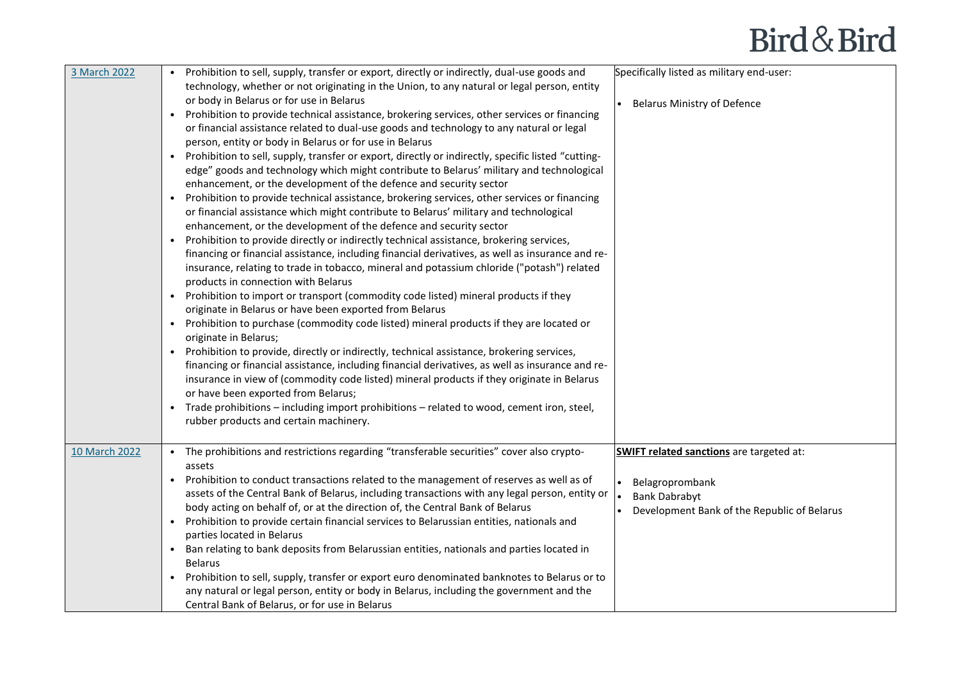| 3 March 2022  | • Prohibition to sell, supply, transfer or export, directly or indirectly, dual-use goods and             | Specifically listed as military end-user:       |
|---------------|-----------------------------------------------------------------------------------------------------------|-------------------------------------------------|
|               | technology, whether or not originating in the Union, to any natural or legal person, entity               |                                                 |
|               | or body in Belarus or for use in Belarus                                                                  | <b>Belarus Ministry of Defence</b>              |
|               | Prohibition to provide technical assistance, brokering services, other services or financing              |                                                 |
|               | or financial assistance related to dual-use goods and technology to any natural or legal                  |                                                 |
|               | person, entity or body in Belarus or for use in Belarus                                                   |                                                 |
|               | • Prohibition to sell, supply, transfer or export, directly or indirectly, specific listed "cutting-      |                                                 |
|               | edge" goods and technology which might contribute to Belarus' military and technological                  |                                                 |
|               | enhancement, or the development of the defence and security sector                                        |                                                 |
|               | Prohibition to provide technical assistance, brokering services, other services or financing<br>$\bullet$ |                                                 |
|               | or financial assistance which might contribute to Belarus' military and technological                     |                                                 |
|               | enhancement, or the development of the defence and security sector                                        |                                                 |
|               | Prohibition to provide directly or indirectly technical assistance, brokering services,                   |                                                 |
|               | financing or financial assistance, including financial derivatives, as well as insurance and re-          |                                                 |
|               | insurance, relating to trade in tobacco, mineral and potassium chloride ("potash") related                |                                                 |
|               | products in connection with Belarus                                                                       |                                                 |
|               | • Prohibition to import or transport (commodity code listed) mineral products if they                     |                                                 |
|               | originate in Belarus or have been exported from Belarus                                                   |                                                 |
|               | • Prohibition to purchase (commodity code listed) mineral products if they are located or                 |                                                 |
|               | originate in Belarus;                                                                                     |                                                 |
|               | • Prohibition to provide, directly or indirectly, technical assistance, brokering services,               |                                                 |
|               | financing or financial assistance, including financial derivatives, as well as insurance and re-          |                                                 |
|               | insurance in view of (commodity code listed) mineral products if they originate in Belarus                |                                                 |
|               | or have been exported from Belarus;                                                                       |                                                 |
|               | • Trade prohibitions - including import prohibitions - related to wood, cement iron, steel,               |                                                 |
|               | rubber products and certain machinery.                                                                    |                                                 |
|               |                                                                                                           |                                                 |
| 10 March 2022 | • The prohibitions and restrictions regarding "transferable securities" cover also crypto-                | <b>SWIFT related sanctions</b> are targeted at: |
|               | assets                                                                                                    |                                                 |
|               | • Prohibition to conduct transactions related to the management of reserves as well as of                 | Belagroprombank                                 |
|               | assets of the Central Bank of Belarus, including transactions with any legal person, entity or            | <b>Bank Dabrabyt</b>                            |
|               | body acting on behalf of, or at the direction of, the Central Bank of Belarus                             | Development Bank of the Republic of Belarus     |
|               | • Prohibition to provide certain financial services to Belarussian entities, nationals and                |                                                 |
|               | parties located in Belarus                                                                                |                                                 |
|               | • Ban relating to bank deposits from Belarussian entities, nationals and parties located in               |                                                 |
|               | <b>Belarus</b>                                                                                            |                                                 |
|               | Prohibition to sell, supply, transfer or export euro denominated banknotes to Belarus or to               |                                                 |
|               | any natural or legal person, entity or body in Belarus, including the government and the                  |                                                 |
|               | Central Bank of Belarus, or for use in Belarus                                                            |                                                 |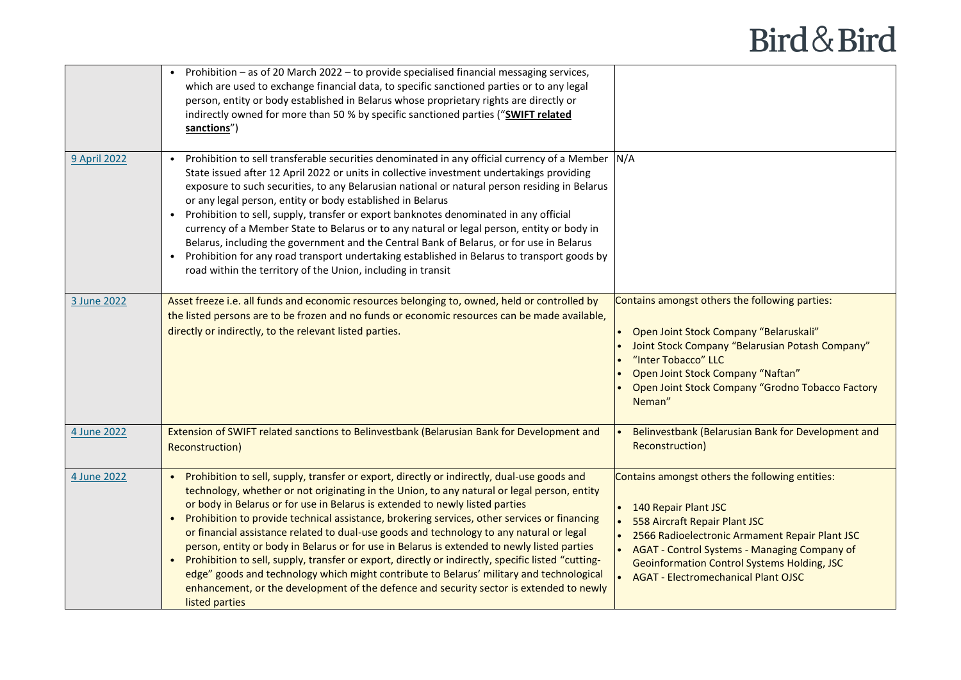|                     | • Prohibition – as of 20 March 2022 – to provide specialised financial messaging services,<br>which are used to exchange financial data, to specific sanctioned parties or to any legal<br>person, entity or body established in Belarus whose proprietary rights are directly or<br>indirectly owned for more than 50 % by specific sanctioned parties ("SWIFT related<br>sanctions")                                                                                                                                                                                                                                                                                                                                                                                                                                                                                                     |                                                                                                                                                                                                                                                                                                                |
|---------------------|--------------------------------------------------------------------------------------------------------------------------------------------------------------------------------------------------------------------------------------------------------------------------------------------------------------------------------------------------------------------------------------------------------------------------------------------------------------------------------------------------------------------------------------------------------------------------------------------------------------------------------------------------------------------------------------------------------------------------------------------------------------------------------------------------------------------------------------------------------------------------------------------|----------------------------------------------------------------------------------------------------------------------------------------------------------------------------------------------------------------------------------------------------------------------------------------------------------------|
| <b>9 April 2022</b> | Prohibition to sell transferable securities denominated in any official currency of a Member N/A<br>State issued after 12 April 2022 or units in collective investment undertakings providing<br>exposure to such securities, to any Belarusian national or natural person residing in Belarus<br>or any legal person, entity or body established in Belarus<br>• Prohibition to sell, supply, transfer or export banknotes denominated in any official<br>currency of a Member State to Belarus or to any natural or legal person, entity or body in<br>Belarus, including the government and the Central Bank of Belarus, or for use in Belarus<br>• Prohibition for any road transport undertaking established in Belarus to transport goods by<br>road within the territory of the Union, including in transit                                                                         |                                                                                                                                                                                                                                                                                                                |
| 3 June 2022         | Asset freeze i.e. all funds and economic resources belonging to, owned, held or controlled by<br>the listed persons are to be frozen and no funds or economic resources can be made available,<br>directly or indirectly, to the relevant listed parties.                                                                                                                                                                                                                                                                                                                                                                                                                                                                                                                                                                                                                                  | Contains amongst others the following parties:<br>Open Joint Stock Company "Belaruskali"<br>Joint Stock Company "Belarusian Potash Company"<br>"Inter Tobacco" LLC<br>Open Joint Stock Company "Naftan"<br>Open Joint Stock Company "Grodno Tobacco Factory<br>Neman"                                          |
| 4 June 2022         | Extension of SWIFT related sanctions to Belinvestbank (Belarusian Bank for Development and<br><b>Reconstruction)</b>                                                                                                                                                                                                                                                                                                                                                                                                                                                                                                                                                                                                                                                                                                                                                                       | Belinvestbank (Belarusian Bank for Development and<br>Reconstruction)                                                                                                                                                                                                                                          |
| 4 June 2022         | • Prohibition to sell, supply, transfer or export, directly or indirectly, dual-use goods and<br>technology, whether or not originating in the Union, to any natural or legal person, entity<br>or body in Belarus or for use in Belarus is extended to newly listed parties<br>• Prohibition to provide technical assistance, brokering services, other services or financing<br>or financial assistance related to dual-use goods and technology to any natural or legal<br>person, entity or body in Belarus or for use in Belarus is extended to newly listed parties<br>• Prohibition to sell, supply, transfer or export, directly or indirectly, specific listed "cutting-<br>edge" goods and technology which might contribute to Belarus' military and technological<br>enhancement, or the development of the defence and security sector is extended to newly<br>listed parties | Contains amongst others the following entities:<br>140 Repair Plant JSC<br>558 Aircraft Repair Plant JSC<br>2566 Radioelectronic Armament Repair Plant JSC<br>AGAT - Control Systems - Managing Company of<br><b>Geoinformation Control Systems Holding, JSC</b><br><b>AGAT - Electromechanical Plant OJSC</b> |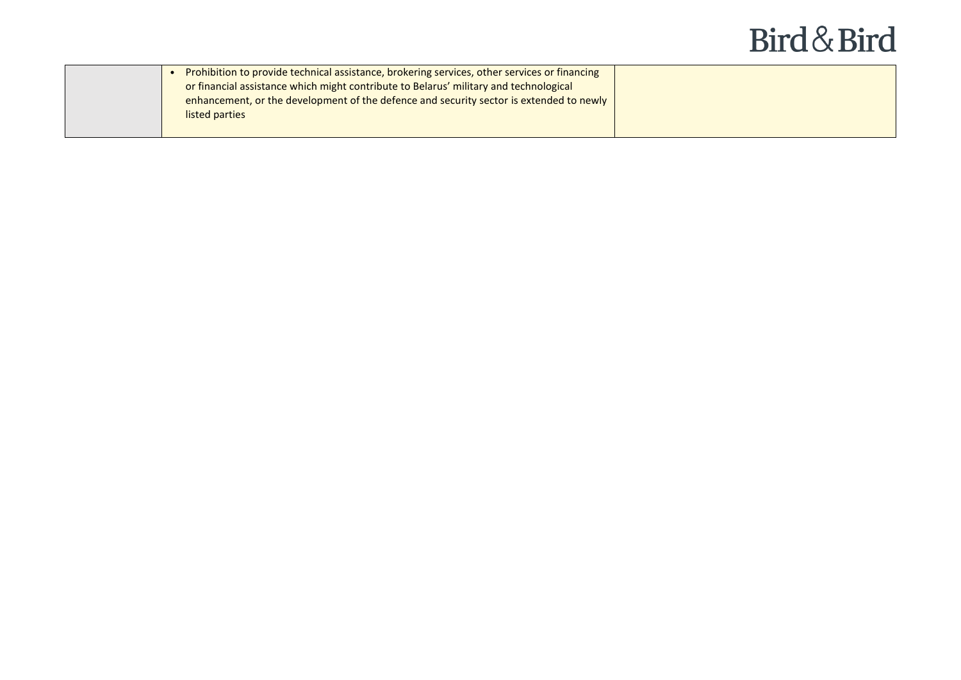|  | Prohibition to provide technical assistance, brokering services, other services or financing |  |
|--|----------------------------------------------------------------------------------------------|--|
|  | or financial assistance which might contribute to Belarus' military and technological        |  |
|  | enhancement, or the development of the defence and security sector is extended to newly      |  |
|  | listed parties                                                                               |  |
|  |                                                                                              |  |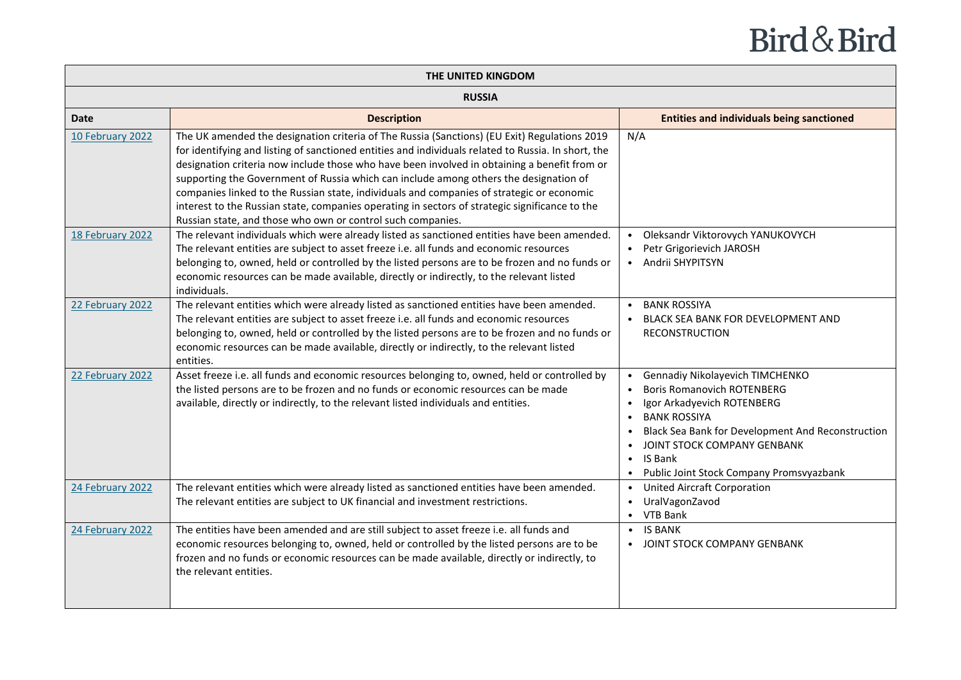|                  | THE UNITED KINGDOM                                                                                                                                                                                                                                                                                                                                                                                                                                                                                                                                                                                                                                         |                                                                                                                                                                                                                                                                                                                    |
|------------------|------------------------------------------------------------------------------------------------------------------------------------------------------------------------------------------------------------------------------------------------------------------------------------------------------------------------------------------------------------------------------------------------------------------------------------------------------------------------------------------------------------------------------------------------------------------------------------------------------------------------------------------------------------|--------------------------------------------------------------------------------------------------------------------------------------------------------------------------------------------------------------------------------------------------------------------------------------------------------------------|
|                  | <b>RUSSIA</b>                                                                                                                                                                                                                                                                                                                                                                                                                                                                                                                                                                                                                                              |                                                                                                                                                                                                                                                                                                                    |
| <b>Date</b>      | <b>Description</b>                                                                                                                                                                                                                                                                                                                                                                                                                                                                                                                                                                                                                                         | <b>Entities and individuals being sanctioned</b>                                                                                                                                                                                                                                                                   |
| 10 February 2022 | The UK amended the designation criteria of The Russia (Sanctions) (EU Exit) Regulations 2019<br>for identifying and listing of sanctioned entities and individuals related to Russia. In short, the<br>designation criteria now include those who have been involved in obtaining a benefit from or<br>supporting the Government of Russia which can include among others the designation of<br>companies linked to the Russian state, individuals and companies of strategic or economic<br>interest to the Russian state, companies operating in sectors of strategic significance to the<br>Russian state, and those who own or control such companies. | N/A                                                                                                                                                                                                                                                                                                                |
| 18 February 2022 | The relevant individuals which were already listed as sanctioned entities have been amended.<br>The relevant entities are subject to asset freeze i.e. all funds and economic resources<br>belonging to, owned, held or controlled by the listed persons are to be frozen and no funds or<br>economic resources can be made available, directly or indirectly, to the relevant listed<br>individuals.                                                                                                                                                                                                                                                      | Oleksandr Viktorovych YANUKOVYCH<br>Petr Grigorievich JAROSH<br>• Andrii SHYPITSYN                                                                                                                                                                                                                                 |
| 22 February 2022 | The relevant entities which were already listed as sanctioned entities have been amended.<br>The relevant entities are subject to asset freeze i.e. all funds and economic resources<br>belonging to, owned, held or controlled by the listed persons are to be frozen and no funds or<br>economic resources can be made available, directly or indirectly, to the relevant listed<br>entities.                                                                                                                                                                                                                                                            | <b>BANK ROSSIYA</b><br>BLACK SEA BANK FOR DEVELOPMENT AND<br><b>RECONSTRUCTION</b>                                                                                                                                                                                                                                 |
| 22 February 2022 | Asset freeze i.e. all funds and economic resources belonging to, owned, held or controlled by<br>the listed persons are to be frozen and no funds or economic resources can be made<br>available, directly or indirectly, to the relevant listed individuals and entities.                                                                                                                                                                                                                                                                                                                                                                                 | Gennadiy Nikolayevich TIMCHENKO<br><b>Boris Romanovich ROTENBERG</b><br>Igor Arkadyevich ROTENBERG<br><b>BANK ROSSIYA</b><br>$\bullet$<br>Black Sea Bank for Development And Reconstruction<br>JOINT STOCK COMPANY GENBANK<br><b>IS Bank</b><br>$\bullet$<br>Public Joint Stock Company Promsvyazbank<br>$\bullet$ |
| 24 February 2022 | The relevant entities which were already listed as sanctioned entities have been amended.<br>The relevant entities are subject to UK financial and investment restrictions.                                                                                                                                                                                                                                                                                                                                                                                                                                                                                | <b>United Aircraft Corporation</b><br>$\bullet$<br>• UralVagonZavod<br>• VTB Bank                                                                                                                                                                                                                                  |
| 24 February 2022 | The entities have been amended and are still subject to asset freeze i.e. all funds and<br>economic resources belonging to, owned, held or controlled by the listed persons are to be<br>frozen and no funds or economic resources can be made available, directly or indirectly, to<br>the relevant entities.                                                                                                                                                                                                                                                                                                                                             | <b>IS BANK</b><br>• JOINT STOCK COMPANY GENBANK                                                                                                                                                                                                                                                                    |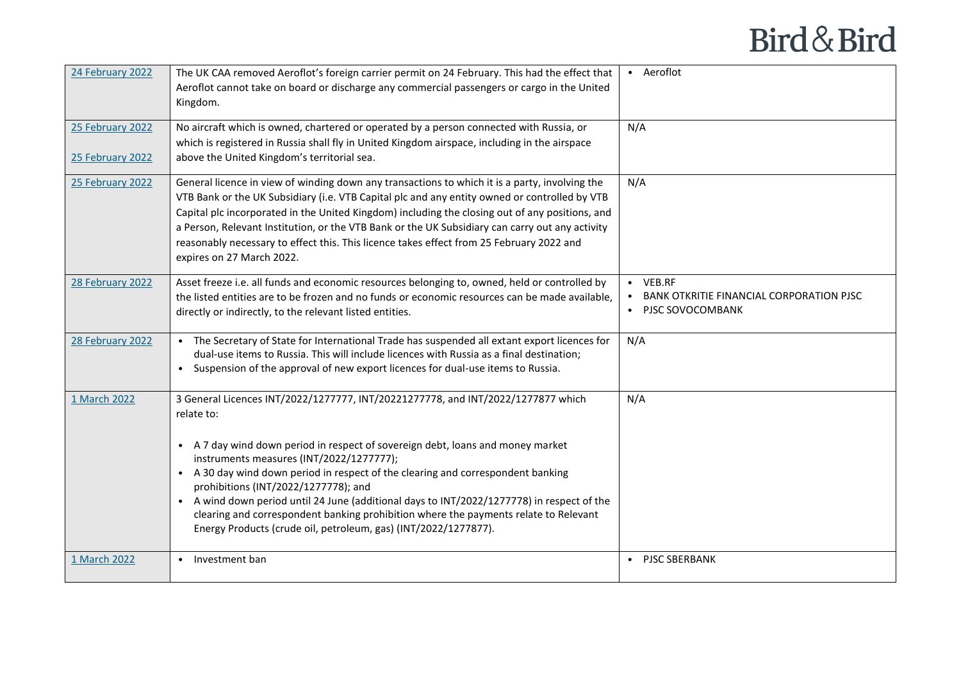| 24 February 2022                     | The UK CAA removed Aeroflot's foreign carrier permit on 24 February. This had the effect that<br>Aeroflot cannot take on board or discharge any commercial passengers or cargo in the United<br>Kingdom.                                                                                                                                                                                                                                                                                                                                                                                                                      | • Aeroflot                                                                 |
|--------------------------------------|-------------------------------------------------------------------------------------------------------------------------------------------------------------------------------------------------------------------------------------------------------------------------------------------------------------------------------------------------------------------------------------------------------------------------------------------------------------------------------------------------------------------------------------------------------------------------------------------------------------------------------|----------------------------------------------------------------------------|
| 25 February 2022<br>25 February 2022 | No aircraft which is owned, chartered or operated by a person connected with Russia, or<br>which is registered in Russia shall fly in United Kingdom airspace, including in the airspace<br>above the United Kingdom's territorial sea.                                                                                                                                                                                                                                                                                                                                                                                       | N/A                                                                        |
| 25 February 2022                     | General licence in view of winding down any transactions to which it is a party, involving the<br>VTB Bank or the UK Subsidiary (i.e. VTB Capital plc and any entity owned or controlled by VTB<br>Capital plc incorporated in the United Kingdom) including the closing out of any positions, and<br>a Person, Relevant Institution, or the VTB Bank or the UK Subsidiary can carry out any activity<br>reasonably necessary to effect this. This licence takes effect from 25 February 2022 and<br>expires on 27 March 2022.                                                                                                | N/A                                                                        |
| 28 February 2022                     | Asset freeze i.e. all funds and economic resources belonging to, owned, held or controlled by<br>the listed entities are to be frozen and no funds or economic resources can be made available.<br>directly or indirectly, to the relevant listed entities.                                                                                                                                                                                                                                                                                                                                                                   | • VEB.RF<br>BANK OTKRITIE FINANCIAL CORPORATION PJSC<br>• PJSC SOVOCOMBANK |
| 28 February 2022                     | The Secretary of State for International Trade has suspended all extant export licences for<br>dual-use items to Russia. This will include licences with Russia as a final destination;<br>Suspension of the approval of new export licences for dual-use items to Russia.                                                                                                                                                                                                                                                                                                                                                    | N/A                                                                        |
| 1 March 2022                         | 3 General Licences INT/2022/1277777, INT/20221277778, and INT/2022/1277877 which<br>relate to:<br>A 7 day wind down period in respect of sovereign debt, loans and money market<br>$\bullet$<br>instruments measures (INT/2022/1277777);<br>• A 30 day wind down period in respect of the clearing and correspondent banking<br>prohibitions (INT/2022/1277778); and<br>• A wind down period until 24 June (additional days to INT/2022/1277778) in respect of the<br>clearing and correspondent banking prohibition where the payments relate to Relevant<br>Energy Products (crude oil, petroleum, gas) (INT/2022/1277877). | N/A                                                                        |
| 1 March 2022                         | Investment ban<br>$\bullet$                                                                                                                                                                                                                                                                                                                                                                                                                                                                                                                                                                                                   | • PJSC SBERBANK                                                            |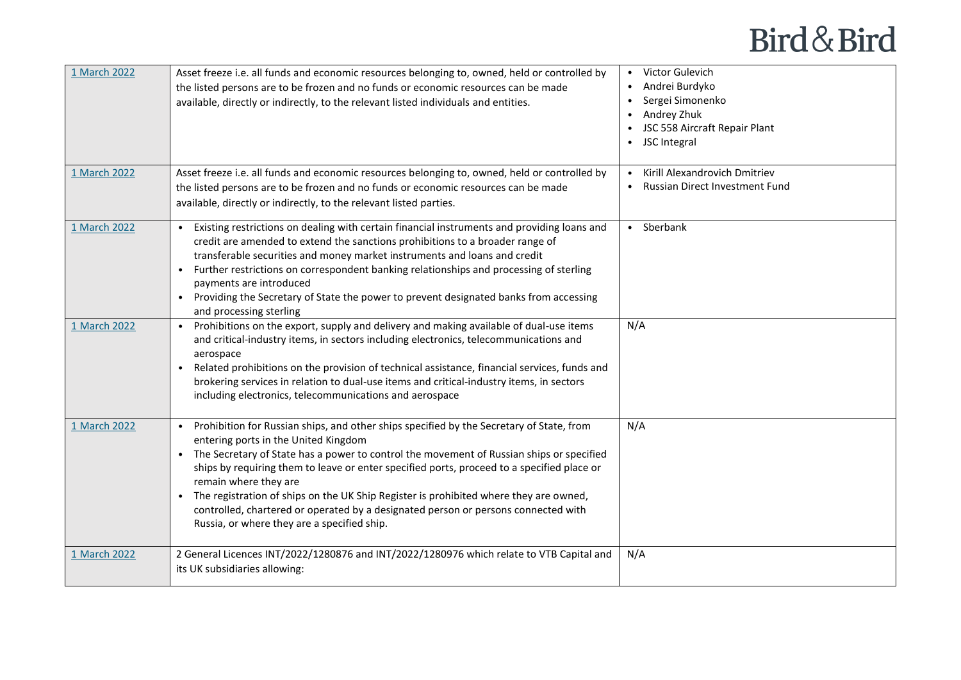| 1 March 2022 | Asset freeze i.e. all funds and economic resources belonging to, owned, held or controlled by<br>the listed persons are to be frozen and no funds or economic resources can be made<br>available, directly or indirectly, to the relevant listed individuals and entities.                                                                                                                                                                                                                                                                                                        | • Victor Gulevich<br>Andrei Burdyko<br>Sergei Simonenko<br>Andrey Zhuk<br>JSC 558 Aircraft Repair Plant<br>• JSC Integral |
|--------------|-----------------------------------------------------------------------------------------------------------------------------------------------------------------------------------------------------------------------------------------------------------------------------------------------------------------------------------------------------------------------------------------------------------------------------------------------------------------------------------------------------------------------------------------------------------------------------------|---------------------------------------------------------------------------------------------------------------------------|
| 1 March 2022 | Asset freeze i.e. all funds and economic resources belonging to, owned, held or controlled by<br>the listed persons are to be frozen and no funds or economic resources can be made<br>available, directly or indirectly, to the relevant listed parties.                                                                                                                                                                                                                                                                                                                         | Kirill Alexandrovich Dmitriev<br><b>Russian Direct Investment Fund</b>                                                    |
| 1 March 2022 | Existing restrictions on dealing with certain financial instruments and providing loans and<br>$\bullet$<br>credit are amended to extend the sanctions prohibitions to a broader range of<br>transferable securities and money market instruments and loans and credit<br>Further restrictions on correspondent banking relationships and processing of sterling<br>$\bullet$<br>payments are introduced<br>Providing the Secretary of State the power to prevent designated banks from accessing<br>$\bullet$<br>and processing sterling                                         | • Sberbank                                                                                                                |
| 1 March 2022 | Prohibitions on the export, supply and delivery and making available of dual-use items<br>$\bullet$<br>and critical-industry items, in sectors including electronics, telecommunications and<br>aerospace<br>Related prohibitions on the provision of technical assistance, financial services, funds and<br>$\bullet$<br>brokering services in relation to dual-use items and critical-industry items, in sectors<br>including electronics, telecommunications and aerospace                                                                                                     | N/A                                                                                                                       |
| 1 March 2022 | Prohibition for Russian ships, and other ships specified by the Secretary of State, from<br>entering ports in the United Kingdom<br>The Secretary of State has a power to control the movement of Russian ships or specified<br>ships by requiring them to leave or enter specified ports, proceed to a specified place or<br>remain where they are<br>The registration of ships on the UK Ship Register is prohibited where they are owned,<br>controlled, chartered or operated by a designated person or persons connected with<br>Russia, or where they are a specified ship. | N/A                                                                                                                       |
| 1 March 2022 | 2 General Licences INT/2022/1280876 and INT/2022/1280976 which relate to VTB Capital and<br>its UK subsidiaries allowing:                                                                                                                                                                                                                                                                                                                                                                                                                                                         | N/A                                                                                                                       |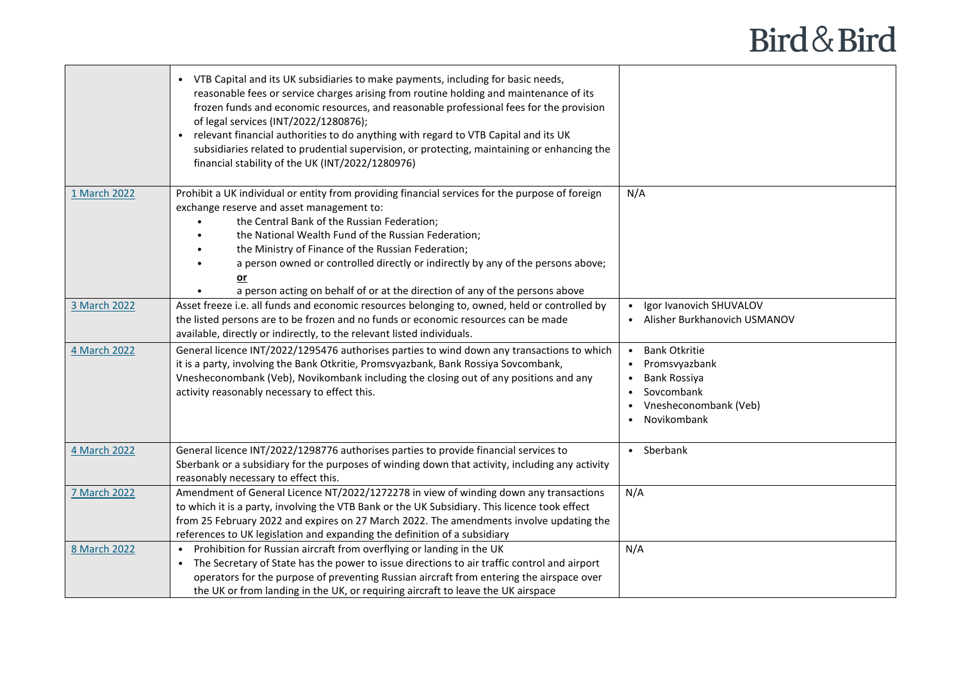|                     | VTB Capital and its UK subsidiaries to make payments, including for basic needs,<br>reasonable fees or service charges arising from routine holding and maintenance of its<br>frozen funds and economic resources, and reasonable professional fees for the provision<br>of legal services (INT/2022/1280876);<br>relevant financial authorities to do anything with regard to VTB Capital and its UK<br>subsidiaries related to prudential supervision, or protecting, maintaining or enhancing the<br>financial stability of the UK (INT/2022/1280976) |                                                                                                                                           |
|---------------------|----------------------------------------------------------------------------------------------------------------------------------------------------------------------------------------------------------------------------------------------------------------------------------------------------------------------------------------------------------------------------------------------------------------------------------------------------------------------------------------------------------------------------------------------------------|-------------------------------------------------------------------------------------------------------------------------------------------|
| 1 March 2022        | Prohibit a UK individual or entity from providing financial services for the purpose of foreign<br>exchange reserve and asset management to:<br>the Central Bank of the Russian Federation;<br>$\bullet$<br>the National Wealth Fund of the Russian Federation;<br>the Ministry of Finance of the Russian Federation;<br>a person owned or controlled directly or indirectly by any of the persons above;<br>$or$<br>a person acting on behalf of or at the direction of any of the persons above                                                        | N/A                                                                                                                                       |
| 3 March 2022        | Asset freeze i.e. all funds and economic resources belonging to, owned, held or controlled by<br>the listed persons are to be frozen and no funds or economic resources can be made<br>available, directly or indirectly, to the relevant listed individuals.                                                                                                                                                                                                                                                                                            | Igor Ivanovich SHUVALOV<br>• Alisher Burkhanovich USMANOV                                                                                 |
| 4 March 2022        | General licence INT/2022/1295476 authorises parties to wind down any transactions to which<br>it is a party, involving the Bank Otkritie, Promsvyazbank, Bank Rossiya Sovcombank,<br>Vnesheconombank (Veb), Novikombank including the closing out of any positions and any<br>activity reasonably necessary to effect this.                                                                                                                                                                                                                              | <b>Bank Otkritie</b><br>• Promsvyazbank<br>Bank Rossiya<br>Sovcombank<br>$\bullet$<br>• Vnesheconombank (Veb)<br>Novikombank<br>$\bullet$ |
| 4 March 2022        | General licence INT/2022/1298776 authorises parties to provide financial services to<br>Sberbank or a subsidiary for the purposes of winding down that activity, including any activity<br>reasonably necessary to effect this.                                                                                                                                                                                                                                                                                                                          | • Sberbank                                                                                                                                |
| <b>7 March 2022</b> | Amendment of General Licence NT/2022/1272278 in view of winding down any transactions<br>to which it is a party, involving the VTB Bank or the UK Subsidiary. This licence took effect<br>from 25 February 2022 and expires on 27 March 2022. The amendments involve updating the<br>references to UK legislation and expanding the definition of a subsidiary                                                                                                                                                                                           | N/A                                                                                                                                       |
| 8 March 2022        | Prohibition for Russian aircraft from overflying or landing in the UK<br>$\bullet$<br>The Secretary of State has the power to issue directions to air traffic control and airport<br>operators for the purpose of preventing Russian aircraft from entering the airspace over<br>the UK or from landing in the UK, or requiring aircraft to leave the UK airspace                                                                                                                                                                                        | N/A                                                                                                                                       |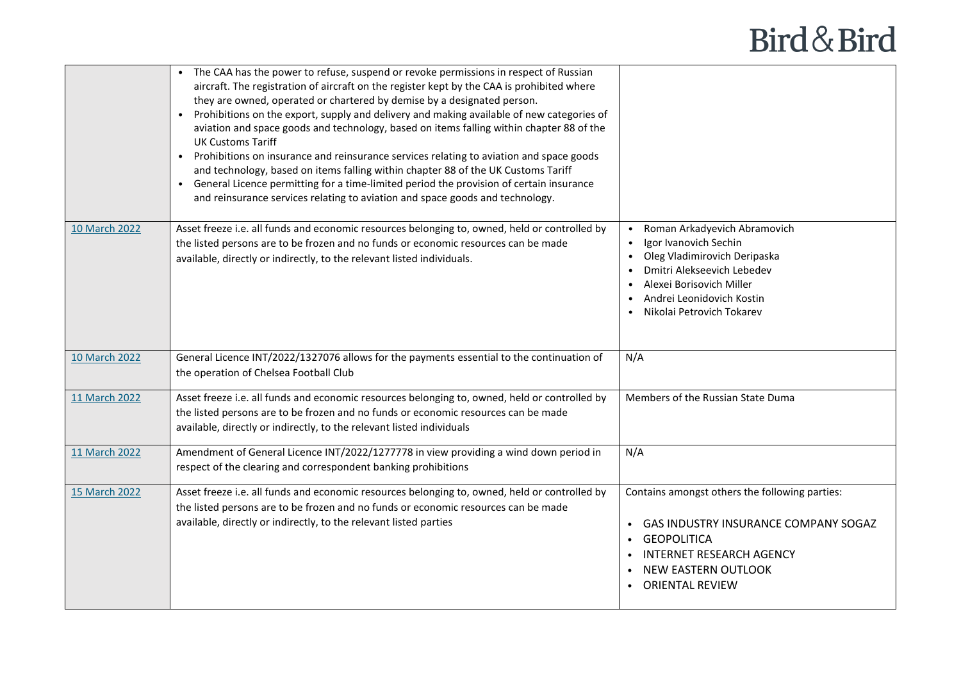|               | The CAA has the power to refuse, suspend or revoke permissions in respect of Russian<br>aircraft. The registration of aircraft on the register kept by the CAA is prohibited where<br>they are owned, operated or chartered by demise by a designated person.<br>Prohibitions on the export, supply and delivery and making available of new categories of<br>aviation and space goods and technology, based on items falling within chapter 88 of the<br><b>UK Customs Tariff</b><br>Prohibitions on insurance and reinsurance services relating to aviation and space goods<br>and technology, based on items falling within chapter 88 of the UK Customs Tariff<br>• General Licence permitting for a time-limited period the provision of certain insurance<br>and reinsurance services relating to aviation and space goods and technology. |                                                                                                                                                                                                                                     |
|---------------|--------------------------------------------------------------------------------------------------------------------------------------------------------------------------------------------------------------------------------------------------------------------------------------------------------------------------------------------------------------------------------------------------------------------------------------------------------------------------------------------------------------------------------------------------------------------------------------------------------------------------------------------------------------------------------------------------------------------------------------------------------------------------------------------------------------------------------------------------|-------------------------------------------------------------------------------------------------------------------------------------------------------------------------------------------------------------------------------------|
| 10 March 2022 | Asset freeze i.e. all funds and economic resources belonging to, owned, held or controlled by<br>the listed persons are to be frozen and no funds or economic resources can be made<br>available, directly or indirectly, to the relevant listed individuals.                                                                                                                                                                                                                                                                                                                                                                                                                                                                                                                                                                                    | Roman Arkadyevich Abramovich<br>$\bullet$<br>Igor Ivanovich Sechin<br>$\bullet$<br>Oleg Vladimirovich Deripaska<br>Dmitri Alekseevich Lebedev<br>Alexei Borisovich Miller<br>Andrei Leonidovich Kostin<br>Nikolai Petrovich Tokarev |
| 10 March 2022 | General Licence INT/2022/1327076 allows for the payments essential to the continuation of<br>the operation of Chelsea Football Club                                                                                                                                                                                                                                                                                                                                                                                                                                                                                                                                                                                                                                                                                                              | N/A                                                                                                                                                                                                                                 |
| 11 March 2022 | Asset freeze i.e. all funds and economic resources belonging to, owned, held or controlled by<br>the listed persons are to be frozen and no funds or economic resources can be made<br>available, directly or indirectly, to the relevant listed individuals                                                                                                                                                                                                                                                                                                                                                                                                                                                                                                                                                                                     | Members of the Russian State Duma                                                                                                                                                                                                   |
| 11 March 2022 | Amendment of General Licence INT/2022/1277778 in view providing a wind down period in<br>respect of the clearing and correspondent banking prohibitions                                                                                                                                                                                                                                                                                                                                                                                                                                                                                                                                                                                                                                                                                          | N/A                                                                                                                                                                                                                                 |
| 15 March 2022 | Asset freeze i.e. all funds and economic resources belonging to, owned, held or controlled by<br>the listed persons are to be frozen and no funds or economic resources can be made<br>available, directly or indirectly, to the relevant listed parties                                                                                                                                                                                                                                                                                                                                                                                                                                                                                                                                                                                         | Contains amongst others the following parties:<br>• GAS INDUSTRY INSURANCE COMPANY SOGAZ<br>• GEOPOLITICA<br><b>INTERNET RESEARCH AGENCY</b><br><b>NEW EASTERN OUTLOOK</b><br>• ORIENTAL REVIEW                                     |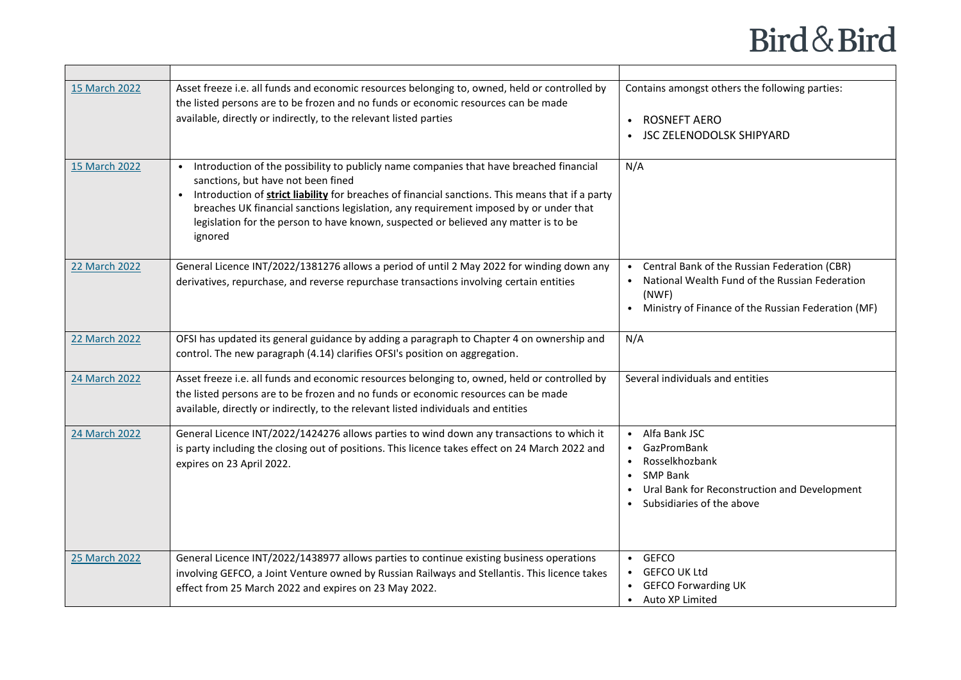| 15 March 2022 | Asset freeze i.e. all funds and economic resources belonging to, owned, held or controlled by<br>the listed persons are to be frozen and no funds or economic resources can be made<br>available, directly or indirectly, to the relevant listed parties                                                                                                                                                                     | Contains amongst others the following parties:<br>• ROSNEFT AERO<br>• JSC ZELENODOLSK SHIPYARD                                                                    |
|---------------|------------------------------------------------------------------------------------------------------------------------------------------------------------------------------------------------------------------------------------------------------------------------------------------------------------------------------------------------------------------------------------------------------------------------------|-------------------------------------------------------------------------------------------------------------------------------------------------------------------|
| 15 March 2022 | Introduction of the possibility to publicly name companies that have breached financial<br>sanctions, but have not been fined<br>Introduction of strict liability for breaches of financial sanctions. This means that if a party<br>breaches UK financial sanctions legislation, any requirement imposed by or under that<br>legislation for the person to have known, suspected or believed any matter is to be<br>ignored | N/A                                                                                                                                                               |
| 22 March 2022 | General Licence INT/2022/1381276 allows a period of until 2 May 2022 for winding down any<br>derivatives, repurchase, and reverse repurchase transactions involving certain entities                                                                                                                                                                                                                                         | • Central Bank of the Russian Federation (CBR)<br>National Wealth Fund of the Russian Federation<br>(NWF)<br>• Ministry of Finance of the Russian Federation (MF) |
| 22 March 2022 | OFSI has updated its general guidance by adding a paragraph to Chapter 4 on ownership and<br>control. The new paragraph (4.14) clarifies OFSI's position on aggregation.                                                                                                                                                                                                                                                     | N/A                                                                                                                                                               |
| 24 March 2022 | Asset freeze i.e. all funds and economic resources belonging to, owned, held or controlled by<br>the listed persons are to be frozen and no funds or economic resources can be made<br>available, directly or indirectly, to the relevant listed individuals and entities                                                                                                                                                    | Several individuals and entities                                                                                                                                  |
| 24 March 2022 | General Licence INT/2022/1424276 allows parties to wind down any transactions to which it<br>is party including the closing out of positions. This licence takes effect on 24 March 2022 and<br>expires on 23 April 2022.                                                                                                                                                                                                    | • Alfa Bank JSC<br>• GazPromBank<br>Rosselkhozbank<br>$\bullet$ SMP Bank<br>Ural Bank for Reconstruction and Development<br>• Subsidiaries of the above           |
| 25 March 2022 | General Licence INT/2022/1438977 allows parties to continue existing business operations<br>involving GEFCO, a Joint Venture owned by Russian Railways and Stellantis. This licence takes<br>effect from 25 March 2022 and expires on 23 May 2022.                                                                                                                                                                           | $\cdot$ GEFCO<br>• GEFCO UK Ltd<br>• GEFCO Forwarding UK<br>• Auto XP Limited                                                                                     |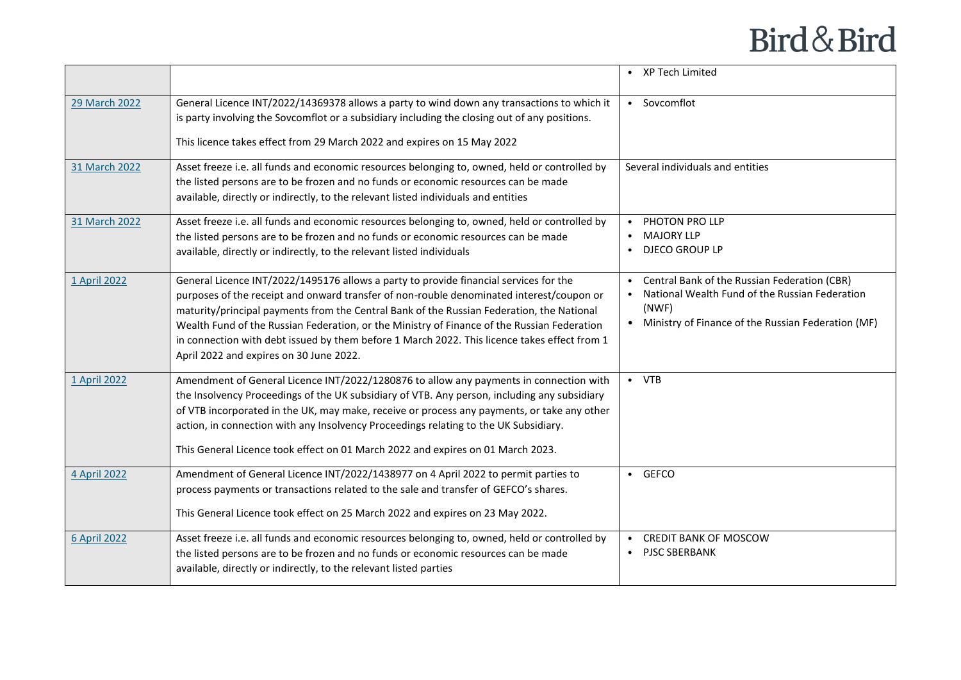|               |                                                                                                                                                                                                                                                                                                                                                                                                                                                                                                                          | • XP Tech Limited                                                                                                                                               |
|---------------|--------------------------------------------------------------------------------------------------------------------------------------------------------------------------------------------------------------------------------------------------------------------------------------------------------------------------------------------------------------------------------------------------------------------------------------------------------------------------------------------------------------------------|-----------------------------------------------------------------------------------------------------------------------------------------------------------------|
| 29 March 2022 | General Licence INT/2022/14369378 allows a party to wind down any transactions to which it<br>is party involving the Sovcomflot or a subsidiary including the closing out of any positions.<br>This licence takes effect from 29 March 2022 and expires on 15 May 2022                                                                                                                                                                                                                                                   | • Sovcomflot                                                                                                                                                    |
| 31 March 2022 | Asset freeze i.e. all funds and economic resources belonging to, owned, held or controlled by<br>the listed persons are to be frozen and no funds or economic resources can be made<br>available, directly or indirectly, to the relevant listed individuals and entities                                                                                                                                                                                                                                                | Several individuals and entities                                                                                                                                |
| 31 March 2022 | Asset freeze i.e. all funds and economic resources belonging to, owned, held or controlled by<br>the listed persons are to be frozen and no funds or economic resources can be made<br>available, directly or indirectly, to the relevant listed individuals                                                                                                                                                                                                                                                             | PHOTON PRO LLP<br><b>MAJORY LLP</b><br>DJECO GROUP LP                                                                                                           |
| 1 April 2022  | General Licence INT/2022/1495176 allows a party to provide financial services for the<br>purposes of the receipt and onward transfer of non-rouble denominated interest/coupon or<br>maturity/principal payments from the Central Bank of the Russian Federation, the National<br>Wealth Fund of the Russian Federation, or the Ministry of Finance of the Russian Federation<br>in connection with debt issued by them before 1 March 2022. This licence takes effect from 1<br>April 2022 and expires on 30 June 2022. | Central Bank of the Russian Federation (CBR)<br>National Wealth Fund of the Russian Federation<br>(NWF)<br>• Ministry of Finance of the Russian Federation (MF) |
| 1 April 2022  | Amendment of General Licence INT/2022/1280876 to allow any payments in connection with<br>the Insolvency Proceedings of the UK subsidiary of VTB. Any person, including any subsidiary<br>of VTB incorporated in the UK, may make, receive or process any payments, or take any other<br>action, in connection with any Insolvency Proceedings relating to the UK Subsidiary.<br>This General Licence took effect on 01 March 2022 and expires on 01 March 2023.                                                         | $\bullet$ VTB                                                                                                                                                   |
| 4 April 2022  | Amendment of General Licence INT/2022/1438977 on 4 April 2022 to permit parties to<br>process payments or transactions related to the sale and transfer of GEFCO's shares.<br>This General Licence took effect on 25 March 2022 and expires on 23 May 2022.                                                                                                                                                                                                                                                              | • GEFCO                                                                                                                                                         |
| 6 April 2022  | Asset freeze i.e. all funds and economic resources belonging to, owned, held or controlled by<br>the listed persons are to be frozen and no funds or economic resources can be made<br>available, directly or indirectly, to the relevant listed parties                                                                                                                                                                                                                                                                 | <b>CREDIT BANK OF MOSCOW</b><br><b>PJSC SBERBANK</b>                                                                                                            |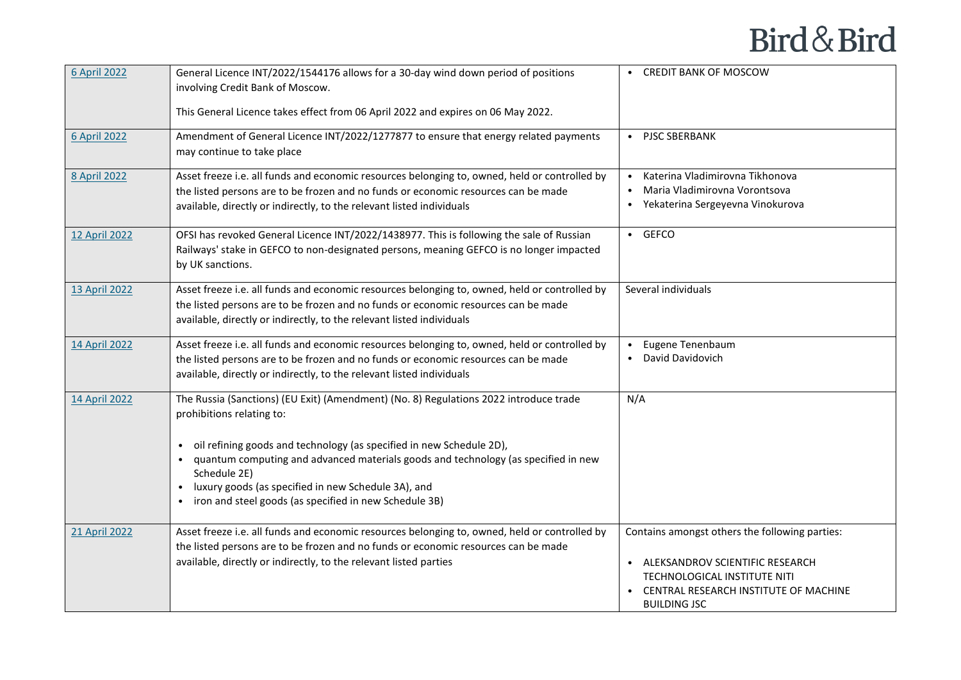| 6 April 2022  | General Licence INT/2022/1544176 allows for a 30-day wind down period of positions<br>involving Credit Bank of Moscow.                                                                                                                                                                                                                                                                                                                                   | • CREDIT BANK OF MOSCOW                                                                                                                                                               |
|---------------|----------------------------------------------------------------------------------------------------------------------------------------------------------------------------------------------------------------------------------------------------------------------------------------------------------------------------------------------------------------------------------------------------------------------------------------------------------|---------------------------------------------------------------------------------------------------------------------------------------------------------------------------------------|
|               | This General Licence takes effect from 06 April 2022 and expires on 06 May 2022.                                                                                                                                                                                                                                                                                                                                                                         |                                                                                                                                                                                       |
| 6 April 2022  | Amendment of General Licence INT/2022/1277877 to ensure that energy related payments<br>may continue to take place                                                                                                                                                                                                                                                                                                                                       | • PJSC SBERBANK                                                                                                                                                                       |
| 8 April 2022  | Asset freeze i.e. all funds and economic resources belonging to, owned, held or controlled by<br>the listed persons are to be frozen and no funds or economic resources can be made<br>available, directly or indirectly, to the relevant listed individuals                                                                                                                                                                                             | • Katerina Vladimirovna Tikhonova<br>Maria Vladimirovna Vorontsova<br>• Yekaterina Sergeyevna Vinokurova                                                                              |
| 12 April 2022 | OFSI has revoked General Licence INT/2022/1438977. This is following the sale of Russian<br>Railways' stake in GEFCO to non-designated persons, meaning GEFCO is no longer impacted<br>by UK sanctions.                                                                                                                                                                                                                                                  | $\cdot$ GEFCO                                                                                                                                                                         |
| 13 April 2022 | Asset freeze i.e. all funds and economic resources belonging to, owned, held or controlled by<br>the listed persons are to be frozen and no funds or economic resources can be made<br>available, directly or indirectly, to the relevant listed individuals                                                                                                                                                                                             | Several individuals                                                                                                                                                                   |
| 14 April 2022 | Asset freeze i.e. all funds and economic resources belonging to, owned, held or controlled by<br>the listed persons are to be frozen and no funds or economic resources can be made<br>available, directly or indirectly, to the relevant listed individuals                                                                                                                                                                                             | Eugene Tenenbaum<br>David Davidovich                                                                                                                                                  |
| 14 April 2022 | The Russia (Sanctions) (EU Exit) (Amendment) (No. 8) Regulations 2022 introduce trade<br>prohibitions relating to:<br>oil refining goods and technology (as specified in new Schedule 2D),<br>$\bullet$<br>quantum computing and advanced materials goods and technology (as specified in new<br>Schedule 2E)<br>luxury goods (as specified in new Schedule 3A), and<br>$\bullet$<br>iron and steel goods (as specified in new Schedule 3B)<br>$\bullet$ | N/A                                                                                                                                                                                   |
| 21 April 2022 | Asset freeze i.e. all funds and economic resources belonging to, owned, held or controlled by<br>the listed persons are to be frozen and no funds or economic resources can be made<br>available, directly or indirectly, to the relevant listed parties                                                                                                                                                                                                 | Contains amongst others the following parties:<br>• ALEKSANDROV SCIENTIFIC RESEARCH<br>TECHNOLOGICAL INSTITUTE NITI<br>• CENTRAL RESEARCH INSTITUTE OF MACHINE<br><b>BUILDING JSC</b> |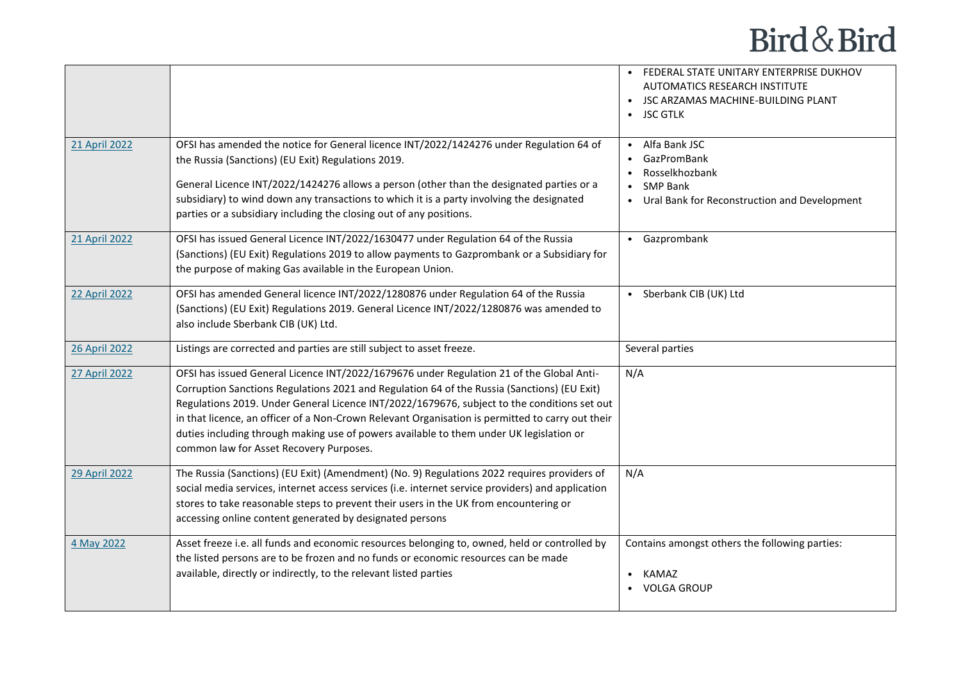|                      |                                                                                                                                                                                                                                                                                                                                                                                                                                                                                                                                  | • FEDERAL STATE UNITARY ENTERPRISE DUKHOV<br><b>AUTOMATICS RESEARCH INSTITUTE</b><br>JSC ARZAMAS MACHINE-BUILDING PLANT<br><b>JSC GTLK</b> |
|----------------------|----------------------------------------------------------------------------------------------------------------------------------------------------------------------------------------------------------------------------------------------------------------------------------------------------------------------------------------------------------------------------------------------------------------------------------------------------------------------------------------------------------------------------------|--------------------------------------------------------------------------------------------------------------------------------------------|
| 21 April 2022        | OFSI has amended the notice for General licence INT/2022/1424276 under Regulation 64 of<br>the Russia (Sanctions) (EU Exit) Regulations 2019.<br>General Licence INT/2022/1424276 allows a person (other than the designated parties or a<br>subsidiary) to wind down any transactions to which it is a party involving the designated<br>parties or a subsidiary including the closing out of any positions.                                                                                                                    | • Alfa Bank JSC<br><b>GazPromBank</b><br>Rosselkhozbank<br><b>SMP Bank</b><br>• Ural Bank for Reconstruction and Development               |
| 21 April 2022        | OFSI has issued General Licence INT/2022/1630477 under Regulation 64 of the Russia<br>(Sanctions) (EU Exit) Regulations 2019 to allow payments to Gazprombank or a Subsidiary for<br>the purpose of making Gas available in the European Union.                                                                                                                                                                                                                                                                                  | • Gazprombank                                                                                                                              |
| <b>22 April 2022</b> | OFSI has amended General licence INT/2022/1280876 under Regulation 64 of the Russia<br>(Sanctions) (EU Exit) Regulations 2019. General Licence INT/2022/1280876 was amended to<br>also include Sberbank CIB (UK) Ltd.                                                                                                                                                                                                                                                                                                            | • Sberbank CIB (UK) Ltd                                                                                                                    |
| 26 April 2022        | Listings are corrected and parties are still subject to asset freeze.                                                                                                                                                                                                                                                                                                                                                                                                                                                            | Several parties                                                                                                                            |
| 27 April 2022        | OFSI has issued General Licence INT/2022/1679676 under Regulation 21 of the Global Anti-<br>Corruption Sanctions Regulations 2021 and Regulation 64 of the Russia (Sanctions) (EU Exit)<br>Regulations 2019. Under General Licence INT/2022/1679676, subject to the conditions set out<br>in that licence, an officer of a Non-Crown Relevant Organisation is permitted to carry out their<br>duties including through making use of powers available to them under UK legislation or<br>common law for Asset Recovery Purposes. | N/A                                                                                                                                        |
| 29 April 2022        | The Russia (Sanctions) (EU Exit) (Amendment) (No. 9) Regulations 2022 requires providers of<br>social media services, internet access services (i.e. internet service providers) and application<br>stores to take reasonable steps to prevent their users in the UK from encountering or<br>accessing online content generated by designated persons                                                                                                                                                                            | N/A                                                                                                                                        |
| 4 May 2022           | Asset freeze i.e. all funds and economic resources belonging to, owned, held or controlled by<br>the listed persons are to be frozen and no funds or economic resources can be made<br>available, directly or indirectly, to the relevant listed parties                                                                                                                                                                                                                                                                         | Contains amongst others the following parties:<br>KAMAZ<br><b>VOLGA GROUP</b>                                                              |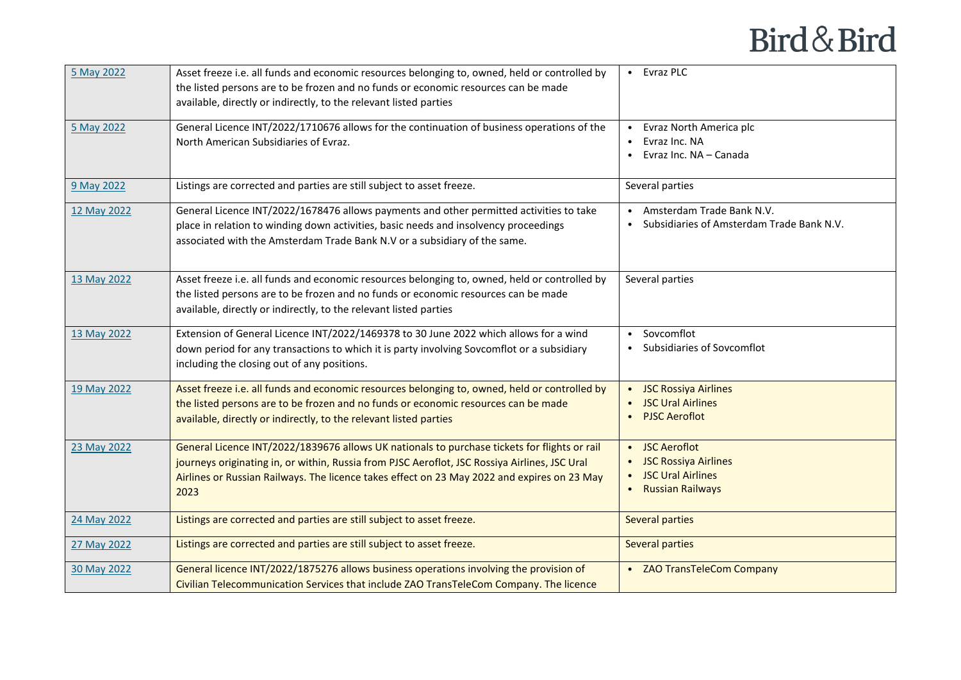| 5 May 2022  | Asset freeze i.e. all funds and economic resources belonging to, owned, held or controlled by | • Evraz PLC                                 |
|-------------|-----------------------------------------------------------------------------------------------|---------------------------------------------|
|             | the listed persons are to be frozen and no funds or economic resources can be made            |                                             |
|             | available, directly or indirectly, to the relevant listed parties                             |                                             |
| 5 May 2022  | General Licence INT/2022/1710676 allows for the continuation of business operations of the    | Evraz North America plc                     |
|             | North American Subsidiaries of Evraz.                                                         | Evraz Inc. NA                               |
|             |                                                                                               | Evraz Inc. NA – Canada                      |
| 9 May 2022  | Listings are corrected and parties are still subject to asset freeze.                         | Several parties                             |
| 12 May 2022 | General Licence INT/2022/1678476 allows payments and other permitted activities to take       | • Amsterdam Trade Bank N.V.                 |
|             | place in relation to winding down activities, basic needs and insolvency proceedings          | • Subsidiaries of Amsterdam Trade Bank N.V. |
|             | associated with the Amsterdam Trade Bank N.V or a subsidiary of the same.                     |                                             |
| 13 May 2022 | Asset freeze i.e. all funds and economic resources belonging to, owned, held or controlled by | Several parties                             |
|             | the listed persons are to be frozen and no funds or economic resources can be made            |                                             |
|             | available, directly or indirectly, to the relevant listed parties                             |                                             |
| 13 May 2022 | Extension of General Licence INT/2022/1469378 to 30 June 2022 which allows for a wind         | Sovcomflot                                  |
|             | down period for any transactions to which it is party involving Sovcomflot or a subsidiary    | Subsidiaries of Sovcomflot                  |
|             | including the closing out of any positions.                                                   |                                             |
| 19 May 2022 | Asset freeze i.e. all funds and economic resources belonging to, owned, held or controlled by | • JSC Rossiya Airlines                      |
|             | the listed persons are to be frozen and no funds or economic resources can be made            | <b>JSC Ural Airlines</b>                    |
|             | available, directly or indirectly, to the relevant listed parties                             | <b>PJSC Aeroflot</b>                        |
| 23 May 2022 | General Licence INT/2022/1839676 allows UK nationals to purchase tickets for flights or rail  | • JSC Aeroflot                              |
|             | journeys originating in, or within, Russia from PJSC Aeroflot, JSC Rossiya Airlines, JSC Ural | • JSC Rossiya Airlines                      |
|             | Airlines or Russian Railways. The licence takes effect on 23 May 2022 and expires on 23 May   | • JSC Ural Airlines                         |
|             | 2023                                                                                          | • Russian Railways                          |
| 24 May 2022 | Listings are corrected and parties are still subject to asset freeze.                         | <b>Several parties</b>                      |
| 27 May 2022 | Listings are corrected and parties are still subject to asset freeze.                         | Several parties                             |
| 30 May 2022 | General licence INT/2022/1875276 allows business operations involving the provision of        | • ZAO TransTeleCom Company                  |
|             | Civilian Telecommunication Services that include ZAO TransTeleCom Company. The licence        |                                             |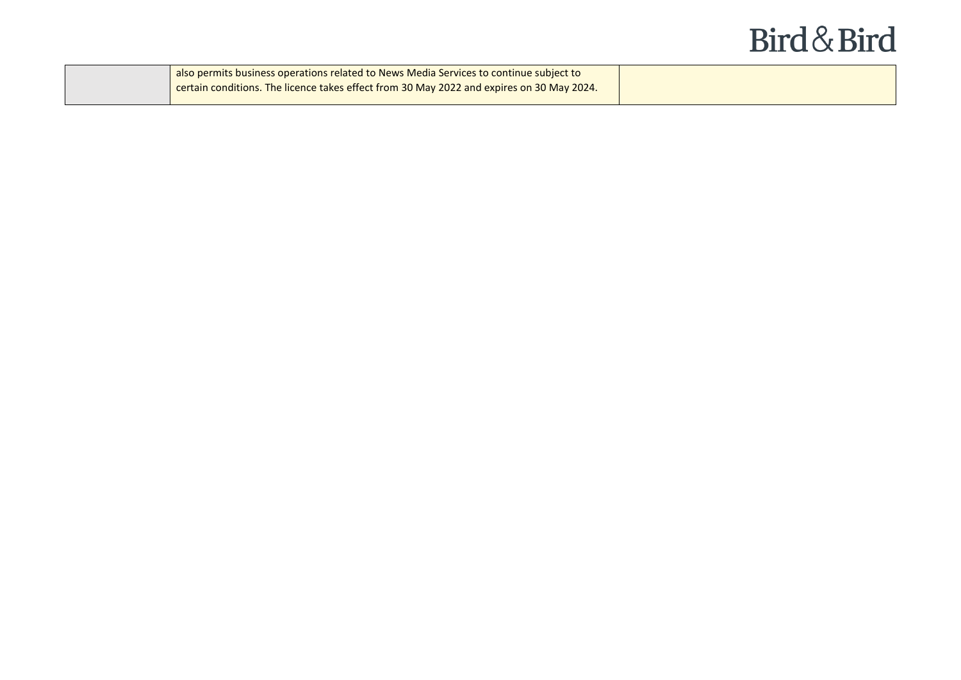| also permits business operations related to News Media Services to continue subject to           |  |
|--------------------------------------------------------------------------------------------------|--|
| <b>Contain conditions. The licence takes effect from 30 May 2022 and expires on 30 May 2024.</b> |  |
|                                                                                                  |  |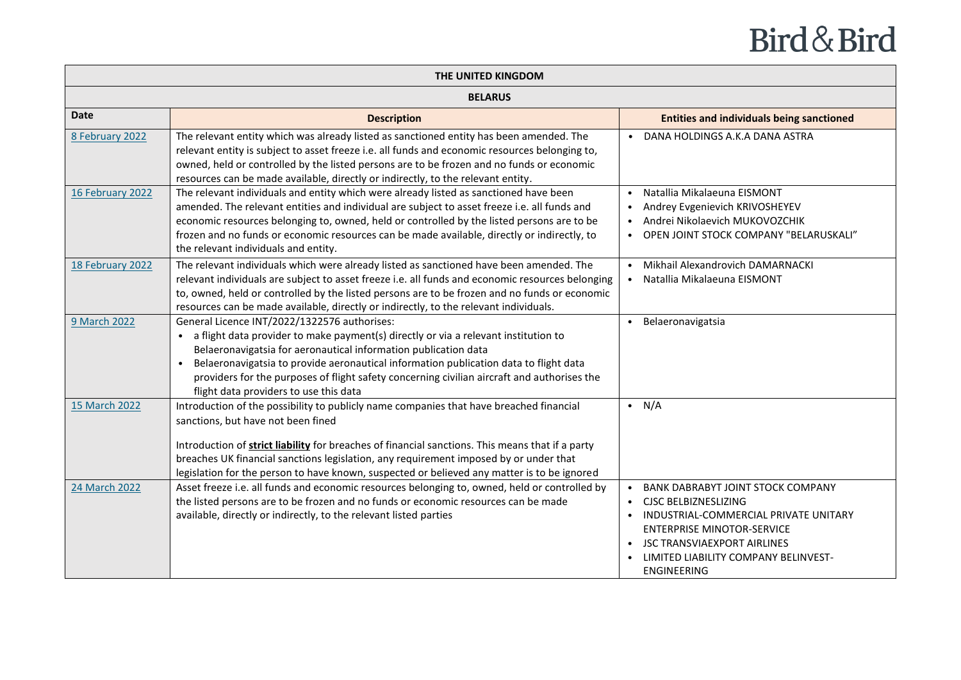| THE UNITED KINGDOM |                                                                                                                                                                                                                                                                                                                                                                                                                                                       |                                                                                                                                                                                                                                                    |  |
|--------------------|-------------------------------------------------------------------------------------------------------------------------------------------------------------------------------------------------------------------------------------------------------------------------------------------------------------------------------------------------------------------------------------------------------------------------------------------------------|----------------------------------------------------------------------------------------------------------------------------------------------------------------------------------------------------------------------------------------------------|--|
| <b>BELARUS</b>     |                                                                                                                                                                                                                                                                                                                                                                                                                                                       |                                                                                                                                                                                                                                                    |  |
| <b>Date</b>        | <b>Description</b>                                                                                                                                                                                                                                                                                                                                                                                                                                    | <b>Entities and individuals being sanctioned</b>                                                                                                                                                                                                   |  |
| 8 February 2022    | The relevant entity which was already listed as sanctioned entity has been amended. The<br>relevant entity is subject to asset freeze i.e. all funds and economic resources belonging to,<br>owned, held or controlled by the listed persons are to be frozen and no funds or economic<br>resources can be made available, directly or indirectly, to the relevant entity.                                                                            | • DANA HOLDINGS A.K.A DANA ASTRA                                                                                                                                                                                                                   |  |
| 16 February 2022   | The relevant individuals and entity which were already listed as sanctioned have been<br>amended. The relevant entities and individual are subject to asset freeze i.e. all funds and<br>economic resources belonging to, owned, held or controlled by the listed persons are to be<br>frozen and no funds or economic resources can be made available, directly or indirectly, to<br>the relevant individuals and entity.                            | Natallia Mikalaeuna EISMONT<br>$\bullet$<br>Andrey Evgenievich KRIVOSHEYEV<br>$\bullet$<br>Andrei Nikolaevich MUKOVOZCHIK<br>$\bullet$<br>• OPEN JOINT STOCK COMPANY "BELARUSKALI"                                                                 |  |
| 18 February 2022   | The relevant individuals which were already listed as sanctioned have been amended. The<br>relevant individuals are subject to asset freeze i.e. all funds and economic resources belonging<br>to, owned, held or controlled by the listed persons are to be frozen and no funds or economic<br>resources can be made available, directly or indirectly, to the relevant individuals.                                                                 | Mikhail Alexandrovich DAMARNACKI<br>$\bullet$<br>Natallia Mikalaeuna EISMONT                                                                                                                                                                       |  |
| 9 March 2022       | General Licence INT/2022/1322576 authorises:<br>a flight data provider to make payment(s) directly or via a relevant institution to<br>Belaeronavigatsia for aeronautical information publication data<br>Belaeronavigatsia to provide aeronautical information publication data to flight data<br>$\bullet$<br>providers for the purposes of flight safety concerning civilian aircraft and authorises the<br>flight data providers to use this data | Belaeronavigatsia<br>$\bullet$                                                                                                                                                                                                                     |  |
| 15 March 2022      | Introduction of the possibility to publicly name companies that have breached financial<br>sanctions, but have not been fined<br>Introduction of <b>strict liability</b> for breaches of financial sanctions. This means that if a party<br>breaches UK financial sanctions legislation, any requirement imposed by or under that<br>legislation for the person to have known, suspected or believed any matter is to be ignored                      | $\bullet$ N/A                                                                                                                                                                                                                                      |  |
| 24 March 2022      | Asset freeze i.e. all funds and economic resources belonging to, owned, held or controlled by<br>the listed persons are to be frozen and no funds or economic resources can be made<br>available, directly or indirectly, to the relevant listed parties                                                                                                                                                                                              | <b>BANK DABRABYT JOINT STOCK COMPANY</b><br><b>CJSC BELBIZNESLIZING</b><br>INDUSTRIAL-COMMERCIAL PRIVATE UNITARY<br><b>ENTERPRISE MINOTOR-SERVICE</b><br><b>JSC TRANSVIAEXPORT AIRLINES</b><br>LIMITED LIABILITY COMPANY BELINVEST-<br>ENGINEERING |  |